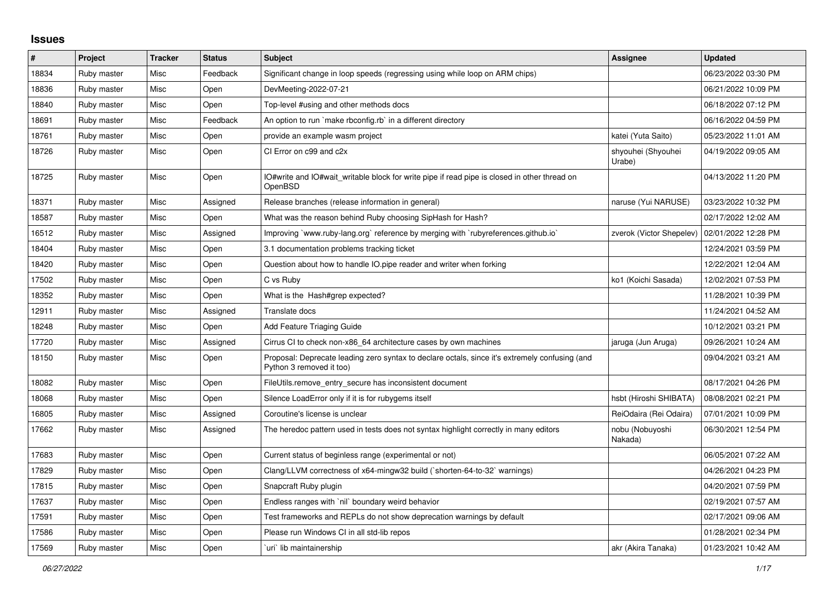## **Issues**

| $\vert$ # | Project     | <b>Tracker</b> | <b>Status</b> | <b>Subject</b>                                                                                                             | <b>Assignee</b>              | <b>Updated</b>      |
|-----------|-------------|----------------|---------------|----------------------------------------------------------------------------------------------------------------------------|------------------------------|---------------------|
| 18834     | Ruby master | Misc           | Feedback      | Significant change in loop speeds (regressing using while loop on ARM chips)                                               |                              | 06/23/2022 03:30 PM |
| 18836     | Ruby master | Misc           | Open          | DevMeeting-2022-07-21                                                                                                      |                              | 06/21/2022 10:09 PM |
| 18840     | Ruby master | Misc           | Open          | Top-level #using and other methods docs                                                                                    |                              | 06/18/2022 07:12 PM |
| 18691     | Ruby master | Misc           | Feedback      | An option to run `make rbconfig.rb` in a different directory                                                               |                              | 06/16/2022 04:59 PM |
| 18761     | Ruby master | Misc           | Open          | provide an example wasm project                                                                                            | katei (Yuta Saito)           | 05/23/2022 11:01 AM |
| 18726     | Ruby master | Misc           | Open          | CI Error on c99 and c2x                                                                                                    | shyouhei (Shyouhei<br>Urabe) | 04/19/2022 09:05 AM |
| 18725     | Ruby master | Misc           | Open          | IO#write and IO#wait writable block for write pipe if read pipe is closed in other thread on<br>OpenBSD                    |                              | 04/13/2022 11:20 PM |
| 18371     | Ruby master | Misc           | Assigned      | Release branches (release information in general)                                                                          | naruse (Yui NARUSE)          | 03/23/2022 10:32 PM |
| 18587     | Ruby master | Misc           | Open          | What was the reason behind Ruby choosing SipHash for Hash?                                                                 |                              | 02/17/2022 12:02 AM |
| 16512     | Ruby master | Misc           | Assigned      | Improving `www.ruby-lang.org` reference by merging with `rubyreferences.github.io`                                         | zverok (Victor Shepelev)     | 02/01/2022 12:28 PM |
| 18404     | Ruby master | Misc           | Open          | 3.1 documentation problems tracking ticket                                                                                 |                              | 12/24/2021 03:59 PM |
| 18420     | Ruby master | Misc           | Open          | Question about how to handle IO.pipe reader and writer when forking                                                        |                              | 12/22/2021 12:04 AM |
| 17502     | Ruby master | Misc           | Open          | C vs Ruby                                                                                                                  | ko1 (Koichi Sasada)          | 12/02/2021 07:53 PM |
| 18352     | Ruby master | Misc           | Open          | What is the Hash#grep expected?                                                                                            |                              | 11/28/2021 10:39 PM |
| 12911     | Ruby master | Misc           | Assigned      | Translate docs                                                                                                             |                              | 11/24/2021 04:52 AM |
| 18248     | Ruby master | Misc           | Open          | Add Feature Triaging Guide                                                                                                 |                              | 10/12/2021 03:21 PM |
| 17720     | Ruby master | Misc           | Assigned      | Cirrus CI to check non-x86_64 architecture cases by own machines                                                           | jaruga (Jun Aruga)           | 09/26/2021 10:24 AM |
| 18150     | Ruby master | Misc           | Open          | Proposal: Deprecate leading zero syntax to declare octals, since it's extremely confusing (and<br>Python 3 removed it too) |                              | 09/04/2021 03:21 AM |
| 18082     | Ruby master | Misc           | Open          | FileUtils.remove entry secure has inconsistent document                                                                    |                              | 08/17/2021 04:26 PM |
| 18068     | Ruby master | Misc           | Open          | Silence LoadError only if it is for rubygems itself                                                                        | hsbt (Hiroshi SHIBATA)       | 08/08/2021 02:21 PM |
| 16805     | Ruby master | Misc           | Assigned      | Coroutine's license is unclear                                                                                             | ReiOdaira (Rei Odaira)       | 07/01/2021 10:09 PM |
| 17662     | Ruby master | Misc           | Assigned      | The heredoc pattern used in tests does not syntax highlight correctly in many editors                                      | nobu (Nobuyoshi<br>Nakada)   | 06/30/2021 12:54 PM |
| 17683     | Ruby master | Misc           | Open          | Current status of beginless range (experimental or not)                                                                    |                              | 06/05/2021 07:22 AM |
| 17829     | Ruby master | Misc           | Open          | Clang/LLVM correctness of x64-mingw32 build (`shorten-64-to-32` warnings)                                                  |                              | 04/26/2021 04:23 PM |
| 17815     | Ruby master | Misc           | Open          | Snapcraft Ruby plugin                                                                                                      |                              | 04/20/2021 07:59 PM |
| 17637     | Ruby master | Misc           | Open          | Endless ranges with `nil` boundary weird behavior                                                                          |                              | 02/19/2021 07:57 AM |
| 17591     | Ruby master | Misc           | Open          | Test frameworks and REPLs do not show deprecation warnings by default                                                      |                              | 02/17/2021 09:06 AM |
| 17586     | Ruby master | Misc           | Open          | Please run Windows CI in all std-lib repos                                                                                 |                              | 01/28/2021 02:34 PM |
| 17569     | Ruby master | Misc           | Open          | uri`lib maintainership                                                                                                     | akr (Akira Tanaka)           | 01/23/2021 10:42 AM |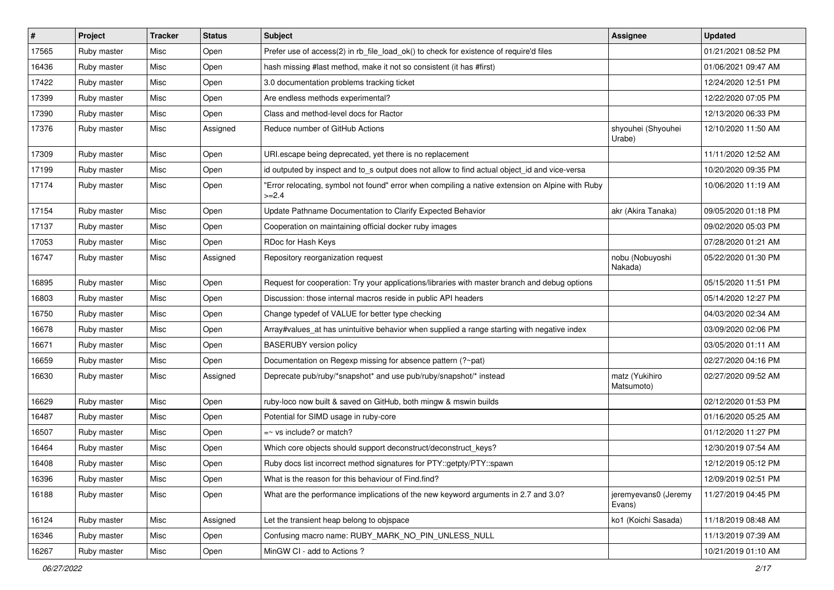| #     | Project     | <b>Tracker</b> | <b>Status</b> | <b>Subject</b>                                                                                              | Assignee                       | <b>Updated</b>      |
|-------|-------------|----------------|---------------|-------------------------------------------------------------------------------------------------------------|--------------------------------|---------------------|
| 17565 | Ruby master | Misc           | Open          | Prefer use of access(2) in rb_file_load_ok() to check for existence of require'd files                      |                                | 01/21/2021 08:52 PM |
| 16436 | Ruby master | Misc           | Open          | hash missing #last method, make it not so consistent (it has #first)                                        |                                | 01/06/2021 09:47 AM |
| 17422 | Ruby master | Misc           | Open          | 3.0 documentation problems tracking ticket                                                                  |                                | 12/24/2020 12:51 PM |
| 17399 | Ruby master | Misc           | Open          | Are endless methods experimental?                                                                           |                                | 12/22/2020 07:05 PM |
| 17390 | Ruby master | Misc           | Open          | Class and method-level docs for Ractor                                                                      |                                | 12/13/2020 06:33 PM |
| 17376 | Ruby master | Misc           | Assigned      | Reduce number of GitHub Actions                                                                             | shyouhei (Shyouhei<br>Urabe)   | 12/10/2020 11:50 AM |
| 17309 | Ruby master | Misc           | Open          | URI.escape being deprecated, yet there is no replacement                                                    |                                | 11/11/2020 12:52 AM |
| 17199 | Ruby master | Misc           | Open          | id outputed by inspect and to_s output does not allow to find actual object_id and vice-versa               |                                | 10/20/2020 09:35 PM |
| 17174 | Ruby master | Misc           | Open          | "Error relocating, symbol not found" error when compiling a native extension on Alpine with Ruby<br>$>=2.4$ |                                | 10/06/2020 11:19 AM |
| 17154 | Ruby master | Misc           | Open          | Update Pathname Documentation to Clarify Expected Behavior                                                  | akr (Akira Tanaka)             | 09/05/2020 01:18 PM |
| 17137 | Ruby master | Misc           | Open          | Cooperation on maintaining official docker ruby images                                                      |                                | 09/02/2020 05:03 PM |
| 17053 | Ruby master | Misc           | Open          | RDoc for Hash Keys                                                                                          |                                | 07/28/2020 01:21 AM |
| 16747 | Ruby master | Misc           | Assigned      | Repository reorganization request                                                                           | nobu (Nobuyoshi<br>Nakada)     | 05/22/2020 01:30 PM |
| 16895 | Ruby master | Misc           | Open          | Request for cooperation: Try your applications/libraries with master branch and debug options               |                                | 05/15/2020 11:51 PM |
| 16803 | Ruby master | Misc           | Open          | Discussion: those internal macros reside in public API headers                                              |                                | 05/14/2020 12:27 PM |
| 16750 | Ruby master | Misc           | Open          | Change typedef of VALUE for better type checking                                                            |                                | 04/03/2020 02:34 AM |
| 16678 | Ruby master | Misc           | Open          | Array#values_at has unintuitive behavior when supplied a range starting with negative index                 |                                | 03/09/2020 02:06 PM |
| 16671 | Ruby master | Misc           | Open          | <b>BASERUBY</b> version policy                                                                              |                                | 03/05/2020 01:11 AM |
| 16659 | Ruby master | Misc           | Open          | Documentation on Regexp missing for absence pattern (?~pat)                                                 |                                | 02/27/2020 04:16 PM |
| 16630 | Ruby master | Misc           | Assigned      | Deprecate pub/ruby/*snapshot* and use pub/ruby/snapshot/* instead                                           | matz (Yukihiro<br>Matsumoto)   | 02/27/2020 09:52 AM |
| 16629 | Ruby master | Misc           | Open          | ruby-loco now built & saved on GitHub, both mingw & mswin builds                                            |                                | 02/12/2020 01:53 PM |
| 16487 | Ruby master | Misc           | Open          | Potential for SIMD usage in ruby-core                                                                       |                                | 01/16/2020 05:25 AM |
| 16507 | Ruby master | Misc           | Open          | $=$ vs include? or match?                                                                                   |                                | 01/12/2020 11:27 PM |
| 16464 | Ruby master | Misc           | Open          | Which core objects should support deconstruct/deconstruct_keys?                                             |                                | 12/30/2019 07:54 AM |
| 16408 | Ruby master | Misc           | Open          | Ruby docs list incorrect method signatures for PTY::getpty/PTY::spawn                                       |                                | 12/12/2019 05:12 PM |
| 16396 | Ruby master | Misc           | Open          | What is the reason for this behaviour of Find.find?                                                         |                                | 12/09/2019 02:51 PM |
| 16188 | Ruby master | Misc           | Open          | What are the performance implications of the new keyword arguments in 2.7 and 3.0?                          | jeremyevans0 (Jeremy<br>Evans) | 11/27/2019 04:45 PM |
| 16124 | Ruby master | Misc           | Assigned      | Let the transient heap belong to objspace                                                                   | ko1 (Koichi Sasada)            | 11/18/2019 08:48 AM |
| 16346 | Ruby master | Misc           | Open          | Confusing macro name: RUBY MARK NO PIN UNLESS NULL                                                          |                                | 11/13/2019 07:39 AM |
| 16267 | Ruby master | Misc           | Open          | MinGW CI - add to Actions?                                                                                  |                                | 10/21/2019 01:10 AM |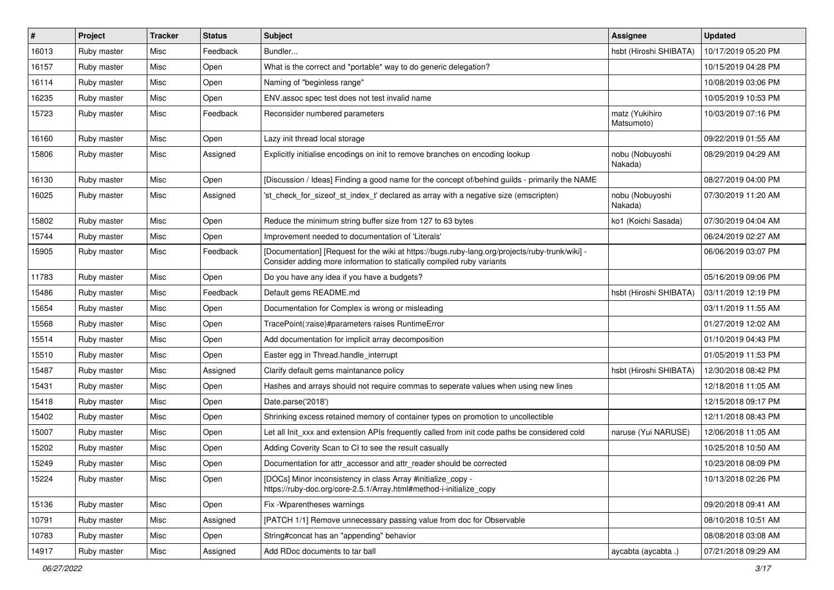| $\vert$ # | Project     | <b>Tracker</b> | <b>Status</b> | <b>Subject</b>                                                                                                                                                           | <b>Assignee</b>              | <b>Updated</b>      |
|-----------|-------------|----------------|---------------|--------------------------------------------------------------------------------------------------------------------------------------------------------------------------|------------------------------|---------------------|
| 16013     | Ruby master | Misc           | Feedback      | Bundler                                                                                                                                                                  | hsbt (Hiroshi SHIBATA)       | 10/17/2019 05:20 PM |
| 16157     | Ruby master | Misc           | Open          | What is the correct and *portable* way to do generic delegation?                                                                                                         |                              | 10/15/2019 04:28 PM |
| 16114     | Ruby master | Misc           | Open          | Naming of "beginless range"                                                                                                                                              |                              | 10/08/2019 03:06 PM |
| 16235     | Ruby master | Misc           | Open          | ENV assoc spec test does not test invalid name                                                                                                                           |                              | 10/05/2019 10:53 PM |
| 15723     | Ruby master | Misc           | Feedback      | Reconsider numbered parameters                                                                                                                                           | matz (Yukihiro<br>Matsumoto) | 10/03/2019 07:16 PM |
| 16160     | Ruby master | Misc           | Open          | Lazy init thread local storage                                                                                                                                           |                              | 09/22/2019 01:55 AM |
| 15806     | Ruby master | Misc           | Assigned      | Explicitly initialise encodings on init to remove branches on encoding lookup                                                                                            | nobu (Nobuyoshi<br>Nakada)   | 08/29/2019 04:29 AM |
| 16130     | Ruby master | Misc           | Open          | [Discussion / Ideas] Finding a good name for the concept of/behind guilds - primarily the NAME                                                                           |                              | 08/27/2019 04:00 PM |
| 16025     | Ruby master | Misc           | Assigned      | 'st check for sizeof st index t' declared as array with a negative size (emscripten)                                                                                     | nobu (Nobuyoshi<br>Nakada)   | 07/30/2019 11:20 AM |
| 15802     | Ruby master | Misc           | Open          | Reduce the minimum string buffer size from 127 to 63 bytes                                                                                                               | ko1 (Koichi Sasada)          | 07/30/2019 04:04 AM |
| 15744     | Ruby master | Misc           | Open          | Improvement needed to documentation of 'Literals'                                                                                                                        |                              | 06/24/2019 02:27 AM |
| 15905     | Ruby master | Misc           | Feedback      | [Documentation] [Request for the wiki at https://bugs.ruby-lang.org/projects/ruby-trunk/wiki] -<br>Consider adding more information to statically compiled ruby variants |                              | 06/06/2019 03:07 PM |
| 11783     | Ruby master | Misc           | Open          | Do you have any idea if you have a budgets?                                                                                                                              |                              | 05/16/2019 09:06 PM |
| 15486     | Ruby master | Misc           | Feedback      | Default gems README.md                                                                                                                                                   | hsbt (Hiroshi SHIBATA)       | 03/11/2019 12:19 PM |
| 15654     | Ruby master | Misc           | Open          | Documentation for Complex is wrong or misleading                                                                                                                         |                              | 03/11/2019 11:55 AM |
| 15568     | Ruby master | Misc           | Open          | TracePoint(:raise)#parameters raises RuntimeError                                                                                                                        |                              | 01/27/2019 12:02 AM |
| 15514     | Ruby master | Misc           | Open          | Add documentation for implicit array decomposition                                                                                                                       |                              | 01/10/2019 04:43 PM |
| 15510     | Ruby master | Misc           | Open          | Easter egg in Thread.handle_interrupt                                                                                                                                    |                              | 01/05/2019 11:53 PM |
| 15487     | Ruby master | Misc           | Assigned      | Clarify default gems maintanance policy                                                                                                                                  | hsbt (Hiroshi SHIBATA)       | 12/30/2018 08:42 PM |
| 15431     | Ruby master | Misc           | Open          | Hashes and arrays should not require commas to seperate values when using new lines                                                                                      |                              | 12/18/2018 11:05 AM |
| 15418     | Ruby master | Misc           | Open          | Date.parse('2018')                                                                                                                                                       |                              | 12/15/2018 09:17 PM |
| 15402     | Ruby master | Misc           | Open          | Shrinking excess retained memory of container types on promotion to uncollectible                                                                                        |                              | 12/11/2018 08:43 PM |
| 15007     | Ruby master | Misc           | Open          | Let all Init xxx and extension APIs frequently called from init code paths be considered cold                                                                            | naruse (Yui NARUSE)          | 12/06/2018 11:05 AM |
| 15202     | Ruby master | Misc           | Open          | Adding Coverity Scan to CI to see the result casually                                                                                                                    |                              | 10/25/2018 10:50 AM |
| 15249     | Ruby master | Misc           | Open          | Documentation for attr accessor and attr reader should be corrected                                                                                                      |                              | 10/23/2018 08:09 PM |
| 15224     | Ruby master | Misc           | Open          | [DOCs] Minor inconsistency in class Array #initialize_copy -<br>https://ruby-doc.org/core-2.5.1/Array.html#method-i-initialize_copy                                      |                              | 10/13/2018 02:26 PM |
| 15136     | Ruby master | Misc           | Open          | Fix - Wparentheses warnings                                                                                                                                              |                              | 09/20/2018 09:41 AM |
| 10791     | Ruby master | Misc           | Assigned      | [PATCH 1/1] Remove unnecessary passing value from doc for Observable                                                                                                     |                              | 08/10/2018 10:51 AM |
| 10783     | Ruby master | Misc           | Open          | String#concat has an "appending" behavior                                                                                                                                |                              | 08/08/2018 03:08 AM |
| 14917     | Ruby master | Misc           | Assigned      | Add RDoc documents to tar ball                                                                                                                                           | aycabta (aycabta.)           | 07/21/2018 09:29 AM |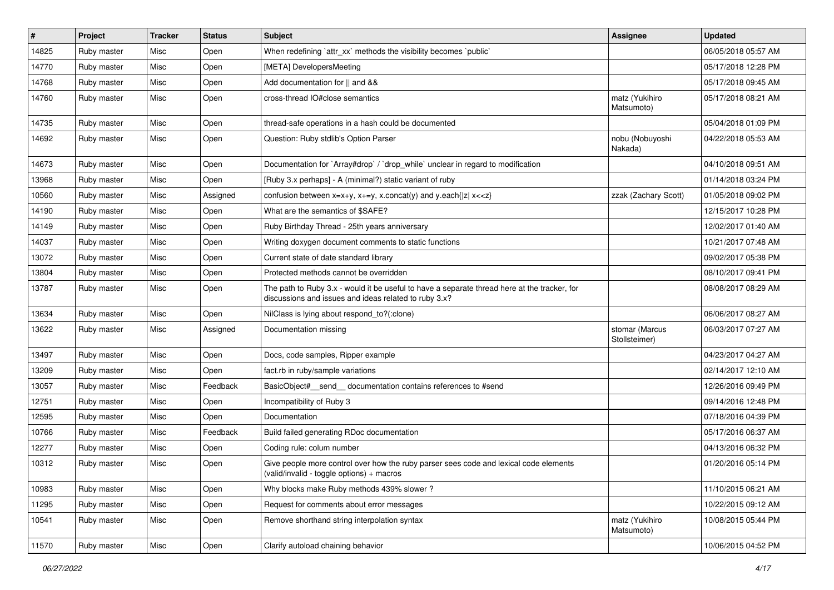| #     | Project     | <b>Tracker</b> | <b>Status</b> | <b>Subject</b>                                                                                                                                        | <b>Assignee</b>                 | <b>Updated</b>      |
|-------|-------------|----------------|---------------|-------------------------------------------------------------------------------------------------------------------------------------------------------|---------------------------------|---------------------|
| 14825 | Ruby master | Misc           | Open          | When redefining `attr_xx` methods the visibility becomes `public`                                                                                     |                                 | 06/05/2018 05:57 AM |
| 14770 | Ruby master | Misc           | Open          | [META] DevelopersMeeting                                                                                                                              |                                 | 05/17/2018 12:28 PM |
| 14768 | Ruby master | Misc           | Open          | Add documentation for    and &&                                                                                                                       |                                 | 05/17/2018 09:45 AM |
| 14760 | Ruby master | Misc           | Open          | cross-thread IO#close semantics                                                                                                                       | matz (Yukihiro<br>Matsumoto)    | 05/17/2018 08:21 AM |
| 14735 | Ruby master | Misc           | Open          | thread-safe operations in a hash could be documented                                                                                                  |                                 | 05/04/2018 01:09 PM |
| 14692 | Ruby master | Misc           | Open          | Question: Ruby stdlib's Option Parser                                                                                                                 | nobu (Nobuyoshi<br>Nakada)      | 04/22/2018 05:53 AM |
| 14673 | Ruby master | Misc           | Open          | Documentation for `Array#drop` / `drop_while` unclear in regard to modification                                                                       |                                 | 04/10/2018 09:51 AM |
| 13968 | Ruby master | Misc           | Open          | [Ruby 3.x perhaps] - A (minimal?) static variant of ruby                                                                                              |                                 | 01/14/2018 03:24 PM |
| 10560 | Ruby master | Misc           | Assigned      | confusion between x=x+y, x+=y, x.concat(y) and y.each{ z  x< <z}< td=""><td>zzak (Zachary Scott)</td><td>01/05/2018 09:02 PM</td></z}<>               | zzak (Zachary Scott)            | 01/05/2018 09:02 PM |
| 14190 | Ruby master | Misc           | Open          | What are the semantics of \$SAFE?                                                                                                                     |                                 | 12/15/2017 10:28 PM |
| 14149 | Ruby master | Misc           | Open          | Ruby Birthday Thread - 25th years anniversary                                                                                                         |                                 | 12/02/2017 01:40 AM |
| 14037 | Ruby master | Misc           | Open          | Writing doxygen document comments to static functions                                                                                                 |                                 | 10/21/2017 07:48 AM |
| 13072 | Ruby master | Misc           | Open          | Current state of date standard library                                                                                                                |                                 | 09/02/2017 05:38 PM |
| 13804 | Ruby master | Misc           | Open          | Protected methods cannot be overridden                                                                                                                |                                 | 08/10/2017 09:41 PM |
| 13787 | Ruby master | Misc           | Open          | The path to Ruby 3.x - would it be useful to have a separate thread here at the tracker, for<br>discussions and issues and ideas related to ruby 3.x? |                                 | 08/08/2017 08:29 AM |
| 13634 | Ruby master | Misc           | Open          | NilClass is lying about respond_to?(:clone)                                                                                                           |                                 | 06/06/2017 08:27 AM |
| 13622 | Ruby master | Misc           | Assigned      | Documentation missing                                                                                                                                 | stomar (Marcus<br>Stollsteimer) | 06/03/2017 07:27 AM |
| 13497 | Ruby master | Misc           | Open          | Docs, code samples, Ripper example                                                                                                                    |                                 | 04/23/2017 04:27 AM |
| 13209 | Ruby master | Misc           | Open          | fact.rb in ruby/sample variations                                                                                                                     |                                 | 02/14/2017 12:10 AM |
| 13057 | Ruby master | Misc           | Feedback      | BasicObject#_send_ documentation contains references to #send                                                                                         |                                 | 12/26/2016 09:49 PM |
| 12751 | Ruby master | Misc           | Open          | Incompatibility of Ruby 3                                                                                                                             |                                 | 09/14/2016 12:48 PM |
| 12595 | Ruby master | Misc           | Open          | Documentation                                                                                                                                         |                                 | 07/18/2016 04:39 PM |
| 10766 | Ruby master | Misc           | Feedback      | Build failed generating RDoc documentation                                                                                                            |                                 | 05/17/2016 06:37 AM |
| 12277 | Ruby master | Misc           | Open          | Coding rule: colum number                                                                                                                             |                                 | 04/13/2016 06:32 PM |
| 10312 | Ruby master | Misc           | Open          | Give people more control over how the ruby parser sees code and lexical code elements<br>(valid/invalid - toggle options) + macros                    |                                 | 01/20/2016 05:14 PM |
| 10983 | Ruby master | Misc           | Open          | Why blocks make Ruby methods 439% slower?                                                                                                             |                                 | 11/10/2015 06:21 AM |
| 11295 | Ruby master | Misc           | Open          | Request for comments about error messages                                                                                                             |                                 | 10/22/2015 09:12 AM |
| 10541 | Ruby master | Misc           | Open          | Remove shorthand string interpolation syntax                                                                                                          | matz (Yukihiro<br>Matsumoto)    | 10/08/2015 05:44 PM |
| 11570 | Ruby master | Misc           | Open          | Clarify autoload chaining behavior                                                                                                                    |                                 | 10/06/2015 04:52 PM |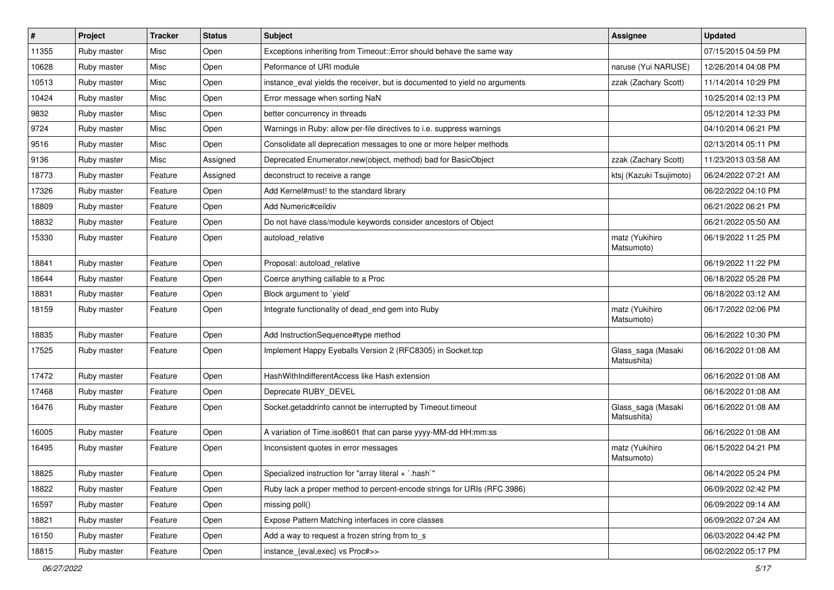| $\vert$ # | Project     | <b>Tracker</b> | <b>Status</b> | Subject                                                                    | <b>Assignee</b>                   | <b>Updated</b>      |
|-----------|-------------|----------------|---------------|----------------------------------------------------------------------------|-----------------------------------|---------------------|
| 11355     | Ruby master | Misc           | Open          | Exceptions inheriting from Timeout:: Error should behave the same way      |                                   | 07/15/2015 04:59 PM |
| 10628     | Ruby master | Misc           | Open          | Peformance of URI module                                                   | naruse (Yui NARUSE)               | 12/26/2014 04:08 PM |
| 10513     | Ruby master | Misc           | Open          | instance_eval yields the receiver, but is documented to yield no arguments | zzak (Zachary Scott)              | 11/14/2014 10:29 PM |
| 10424     | Ruby master | Misc           | Open          | Error message when sorting NaN                                             |                                   | 10/25/2014 02:13 PM |
| 9832      | Ruby master | Misc           | Open          | better concurrency in threads                                              |                                   | 05/12/2014 12:33 PM |
| 9724      | Ruby master | Misc           | Open          | Warnings in Ruby: allow per-file directives to i.e. suppress warnings      |                                   | 04/10/2014 06:21 PM |
| 9516      | Ruby master | Misc           | Open          | Consolidate all deprecation messages to one or more helper methods         |                                   | 02/13/2014 05:11 PM |
| 9136      | Ruby master | Misc           | Assigned      | Deprecated Enumerator.new(object, method) bad for BasicObject              | zzak (Zachary Scott)              | 11/23/2013 03:58 AM |
| 18773     | Ruby master | Feature        | Assigned      | deconstruct to receive a range                                             | ktsj (Kazuki Tsujimoto)           | 06/24/2022 07:21 AM |
| 17326     | Ruby master | Feature        | Open          | Add Kernel#must! to the standard library                                   |                                   | 06/22/2022 04:10 PM |
| 18809     | Ruby master | Feature        | Open          | Add Numeric#ceildiv                                                        |                                   | 06/21/2022 06:21 PM |
| 18832     | Ruby master | Feature        | Open          | Do not have class/module keywords consider ancestors of Object             |                                   | 06/21/2022 05:50 AM |
| 15330     | Ruby master | Feature        | Open          | autoload_relative                                                          | matz (Yukihiro<br>Matsumoto)      | 06/19/2022 11:25 PM |
| 18841     | Ruby master | Feature        | Open          | Proposal: autoload relative                                                |                                   | 06/19/2022 11:22 PM |
| 18644     | Ruby master | Feature        | Open          | Coerce anything callable to a Proc                                         |                                   | 06/18/2022 05:28 PM |
| 18831     | Ruby master | Feature        | Open          | Block argument to `yield`                                                  |                                   | 06/18/2022 03:12 AM |
| 18159     | Ruby master | Feature        | Open          | Integrate functionality of dead_end gem into Ruby                          | matz (Yukihiro<br>Matsumoto)      | 06/17/2022 02:06 PM |
| 18835     | Ruby master | Feature        | Open          | Add InstructionSequence#type method                                        |                                   | 06/16/2022 10:30 PM |
| 17525     | Ruby master | Feature        | Open          | Implement Happy Eyeballs Version 2 (RFC8305) in Socket.tcp                 | Glass_saga (Masaki<br>Matsushita) | 06/16/2022 01:08 AM |
| 17472     | Ruby master | Feature        | Open          | HashWithIndifferentAccess like Hash extension                              |                                   | 06/16/2022 01:08 AM |
| 17468     | Ruby master | Feature        | Open          | Deprecate RUBY_DEVEL                                                       |                                   | 06/16/2022 01:08 AM |
| 16476     | Ruby master | Feature        | Open          | Socket.getaddrinfo cannot be interrupted by Timeout.timeout                | Glass_saga (Masaki<br>Matsushita) | 06/16/2022 01:08 AM |
| 16005     | Ruby master | Feature        | Open          | A variation of Time.iso8601 that can parse yyyy-MM-dd HH:mm:ss             |                                   | 06/16/2022 01:08 AM |
| 16495     | Ruby master | Feature        | Open          | Inconsistent quotes in error messages                                      | matz (Yukihiro<br>Matsumoto)      | 06/15/2022 04:21 PM |
| 18825     | Ruby master | Feature        | Open          | Specialized instruction for "array literal + `.hash`"                      |                                   | 06/14/2022 05:24 PM |
| 18822     | Ruby master | Feature        | Open          | Ruby lack a proper method to percent-encode strings for URIs (RFC 3986)    |                                   | 06/09/2022 02:42 PM |
| 16597     | Ruby master | Feature        | Open          | missing poll()                                                             |                                   | 06/09/2022 09:14 AM |
| 18821     | Ruby master | Feature        | Open          | Expose Pattern Matching interfaces in core classes                         |                                   | 06/09/2022 07:24 AM |
| 16150     | Ruby master | Feature        | Open          | Add a way to request a frozen string from to s                             |                                   | 06/03/2022 04:42 PM |
| 18815     | Ruby master | Feature        | Open          | instance_{eval,exec} vs Proc#>>                                            |                                   | 06/02/2022 05:17 PM |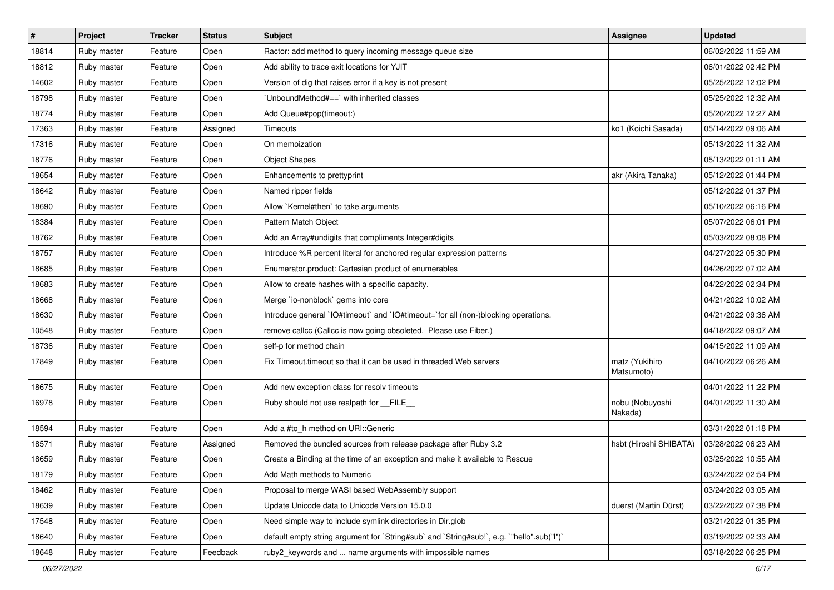| #     | Project     | <b>Tracker</b> | <b>Status</b> | <b>Subject</b>                                                                            | <b>Assignee</b>              | <b>Updated</b>      |
|-------|-------------|----------------|---------------|-------------------------------------------------------------------------------------------|------------------------------|---------------------|
| 18814 | Ruby master | Feature        | Open          | Ractor: add method to query incoming message queue size                                   |                              | 06/02/2022 11:59 AM |
| 18812 | Ruby master | Feature        | Open          | Add ability to trace exit locations for YJIT                                              |                              | 06/01/2022 02:42 PM |
| 14602 | Ruby master | Feature        | Open          | Version of dig that raises error if a key is not present                                  |                              | 05/25/2022 12:02 PM |
| 18798 | Ruby master | Feature        | Open          | 'UnboundMethod#==' with inherited classes                                                 |                              | 05/25/2022 12:32 AM |
| 18774 | Ruby master | Feature        | Open          | Add Queue#pop(timeout:)                                                                   |                              | 05/20/2022 12:27 AM |
| 17363 | Ruby master | Feature        | Assigned      | <b>Timeouts</b>                                                                           | ko1 (Koichi Sasada)          | 05/14/2022 09:06 AM |
| 17316 | Ruby master | Feature        | Open          | On memoization                                                                            |                              | 05/13/2022 11:32 AM |
| 18776 | Ruby master | Feature        | Open          | <b>Object Shapes</b>                                                                      |                              | 05/13/2022 01:11 AM |
| 18654 | Ruby master | Feature        | Open          | Enhancements to prettyprint                                                               | akr (Akira Tanaka)           | 05/12/2022 01:44 PM |
| 18642 | Ruby master | Feature        | Open          | Named ripper fields                                                                       |                              | 05/12/2022 01:37 PM |
| 18690 | Ruby master | Feature        | Open          | Allow `Kernel#then` to take arguments                                                     |                              | 05/10/2022 06:16 PM |
| 18384 | Ruby master | Feature        | Open          | Pattern Match Object                                                                      |                              | 05/07/2022 06:01 PM |
| 18762 | Ruby master | Feature        | Open          | Add an Array#undigits that compliments Integer#digits                                     |                              | 05/03/2022 08:08 PM |
| 18757 | Ruby master | Feature        | Open          | Introduce %R percent literal for anchored regular expression patterns                     |                              | 04/27/2022 05:30 PM |
| 18685 | Ruby master | Feature        | Open          | Enumerator.product: Cartesian product of enumerables                                      |                              | 04/26/2022 07:02 AM |
| 18683 | Ruby master | Feature        | Open          | Allow to create hashes with a specific capacity.                                          |                              | 04/22/2022 02:34 PM |
| 18668 | Ruby master | Feature        | Open          | Merge `io-nonblock` gems into core                                                        |                              | 04/21/2022 10:02 AM |
| 18630 | Ruby master | Feature        | Open          | Introduce general `IO#timeout` and `IO#timeout=`for all (non-)blocking operations.        |                              | 04/21/2022 09:36 AM |
| 10548 | Ruby master | Feature        | Open          | remove callcc (Callcc is now going obsoleted. Please use Fiber.)                          |                              | 04/18/2022 09:07 AM |
| 18736 | Ruby master | Feature        | Open          | self-p for method chain                                                                   |                              | 04/15/2022 11:09 AM |
| 17849 | Ruby master | Feature        | Open          | Fix Timeout.timeout so that it can be used in threaded Web servers                        | matz (Yukihiro<br>Matsumoto) | 04/10/2022 06:26 AM |
| 18675 | Ruby master | Feature        | Open          | Add new exception class for resolv timeouts                                               |                              | 04/01/2022 11:22 PM |
| 16978 | Ruby master | Feature        | Open          | Ruby should not use realpath for FILE                                                     | nobu (Nobuyoshi<br>Nakada)   | 04/01/2022 11:30 AM |
| 18594 | Ruby master | Feature        | Open          | Add a #to_h method on URI::Generic                                                        |                              | 03/31/2022 01:18 PM |
| 18571 | Ruby master | Feature        | Assigned      | Removed the bundled sources from release package after Ruby 3.2                           | hsbt (Hiroshi SHIBATA)       | 03/28/2022 06:23 AM |
| 18659 | Ruby master | Feature        | Open          | Create a Binding at the time of an exception and make it available to Rescue              |                              | 03/25/2022 10:55 AM |
| 18179 | Ruby master | Feature        | Open          | Add Math methods to Numeric                                                               |                              | 03/24/2022 02:54 PM |
| 18462 | Ruby master | Feature        | Open          | Proposal to merge WASI based WebAssembly support                                          |                              | 03/24/2022 03:05 AM |
| 18639 | Ruby master | Feature        | Open          | Update Unicode data to Unicode Version 15.0.0                                             | duerst (Martin Dürst)        | 03/22/2022 07:38 PM |
| 17548 | Ruby master | Feature        | Open          | Need simple way to include symlink directories in Dir.glob                                |                              | 03/21/2022 01:35 PM |
| 18640 | Ruby master | Feature        | Open          | default empty string argument for `String#sub` and `String#sub!`, e.g. `"hello".sub("I")` |                              | 03/19/2022 02:33 AM |
| 18648 | Ruby master | Feature        | Feedback      | ruby2_keywords and  name arguments with impossible names                                  |                              | 03/18/2022 06:25 PM |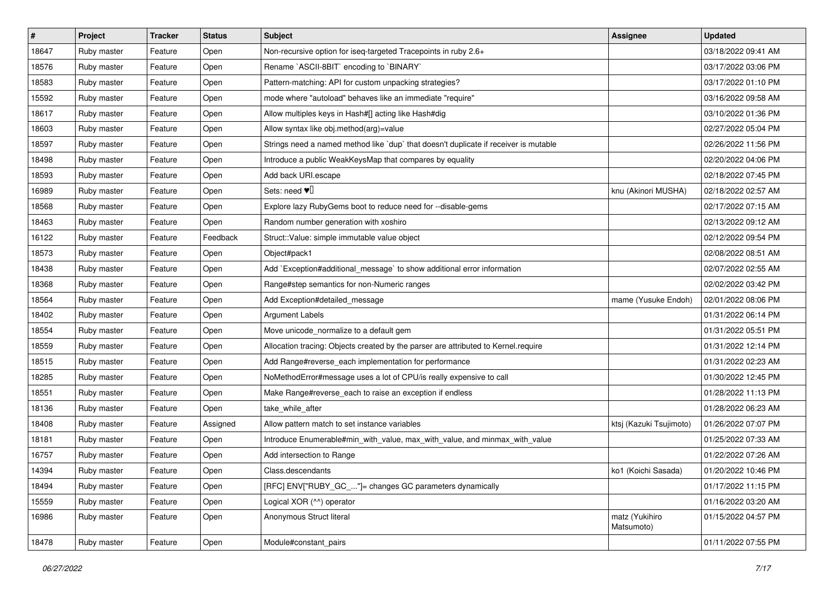| $\sharp$ | Project     | <b>Tracker</b> | <b>Status</b> | Subject                                                                              | Assignee                     | <b>Updated</b>      |
|----------|-------------|----------------|---------------|--------------------------------------------------------------------------------------|------------------------------|---------------------|
| 18647    | Ruby master | Feature        | Open          | Non-recursive option for iseq-targeted Tracepoints in ruby 2.6+                      |                              | 03/18/2022 09:41 AM |
| 18576    | Ruby master | Feature        | Open          | Rename `ASCII-8BIT` encoding to `BINARY`                                             |                              | 03/17/2022 03:06 PM |
| 18583    | Ruby master | Feature        | Open          | Pattern-matching: API for custom unpacking strategies?                               |                              | 03/17/2022 01:10 PM |
| 15592    | Ruby master | Feature        | Open          | mode where "autoload" behaves like an immediate "require"                            |                              | 03/16/2022 09:58 AM |
| 18617    | Ruby master | Feature        | Open          | Allow multiples keys in Hash#[] acting like Hash#dig                                 |                              | 03/10/2022 01:36 PM |
| 18603    | Ruby master | Feature        | Open          | Allow syntax like obj.method(arg)=value                                              |                              | 02/27/2022 05:04 PM |
| 18597    | Ruby master | Feature        | Open          | Strings need a named method like 'dup' that doesn't duplicate if receiver is mutable |                              | 02/26/2022 11:56 PM |
| 18498    | Ruby master | Feature        | Open          | Introduce a public WeakKeysMap that compares by equality                             |                              | 02/20/2022 04:06 PM |
| 18593    | Ruby master | Feature        | Open          | Add back URI.escape                                                                  |                              | 02/18/2022 07:45 PM |
| 16989    | Ruby master | Feature        | Open          | Sets: need $\Psi$                                                                    | knu (Akinori MUSHA)          | 02/18/2022 02:57 AM |
| 18568    | Ruby master | Feature        | Open          | Explore lazy RubyGems boot to reduce need for --disable-gems                         |                              | 02/17/2022 07:15 AM |
| 18463    | Ruby master | Feature        | Open          | Random number generation with xoshiro                                                |                              | 02/13/2022 09:12 AM |
| 16122    | Ruby master | Feature        | Feedback      | Struct::Value: simple immutable value object                                         |                              | 02/12/2022 09:54 PM |
| 18573    | Ruby master | Feature        | Open          | Object#pack1                                                                         |                              | 02/08/2022 08:51 AM |
| 18438    | Ruby master | Feature        | Open          | Add `Exception#additional_message` to show additional error information              |                              | 02/07/2022 02:55 AM |
| 18368    | Ruby master | Feature        | Open          | Range#step semantics for non-Numeric ranges                                          |                              | 02/02/2022 03:42 PM |
| 18564    | Ruby master | Feature        | Open          | Add Exception#detailed_message                                                       | mame (Yusuke Endoh)          | 02/01/2022 08:06 PM |
| 18402    | Ruby master | Feature        | Open          | <b>Argument Labels</b>                                                               |                              | 01/31/2022 06:14 PM |
| 18554    | Ruby master | Feature        | Open          | Move unicode_normalize to a default gem                                              |                              | 01/31/2022 05:51 PM |
| 18559    | Ruby master | Feature        | Open          | Allocation tracing: Objects created by the parser are attributed to Kernel.require   |                              | 01/31/2022 12:14 PM |
| 18515    | Ruby master | Feature        | Open          | Add Range#reverse_each implementation for performance                                |                              | 01/31/2022 02:23 AM |
| 18285    | Ruby master | Feature        | Open          | NoMethodError#message uses a lot of CPU/is really expensive to call                  |                              | 01/30/2022 12:45 PM |
| 18551    | Ruby master | Feature        | Open          | Make Range#reverse_each to raise an exception if endless                             |                              | 01/28/2022 11:13 PM |
| 18136    | Ruby master | Feature        | Open          | take_while_after                                                                     |                              | 01/28/2022 06:23 AM |
| 18408    | Ruby master | Feature        | Assigned      | Allow pattern match to set instance variables                                        | ktsj (Kazuki Tsujimoto)      | 01/26/2022 07:07 PM |
| 18181    | Ruby master | Feature        | Open          | Introduce Enumerable#min_with_value, max_with_value, and minmax_with_value           |                              | 01/25/2022 07:33 AM |
| 16757    | Ruby master | Feature        | Open          | Add intersection to Range                                                            |                              | 01/22/2022 07:26 AM |
| 14394    | Ruby master | Feature        | Open          | Class.descendants                                                                    | ko1 (Koichi Sasada)          | 01/20/2022 10:46 PM |
| 18494    | Ruby master | Feature        | Open          | [RFC] ENV["RUBY_GC_"]= changes GC parameters dynamically                             |                              | 01/17/2022 11:15 PM |
| 15559    | Ruby master | Feature        | Open          | Logical XOR (^^) operator                                                            |                              | 01/16/2022 03:20 AM |
| 16986    | Ruby master | Feature        | Open          | Anonymous Struct literal                                                             | matz (Yukihiro<br>Matsumoto) | 01/15/2022 04:57 PM |
| 18478    | Ruby master | Feature        | Open          | Module#constant_pairs                                                                |                              | 01/11/2022 07:55 PM |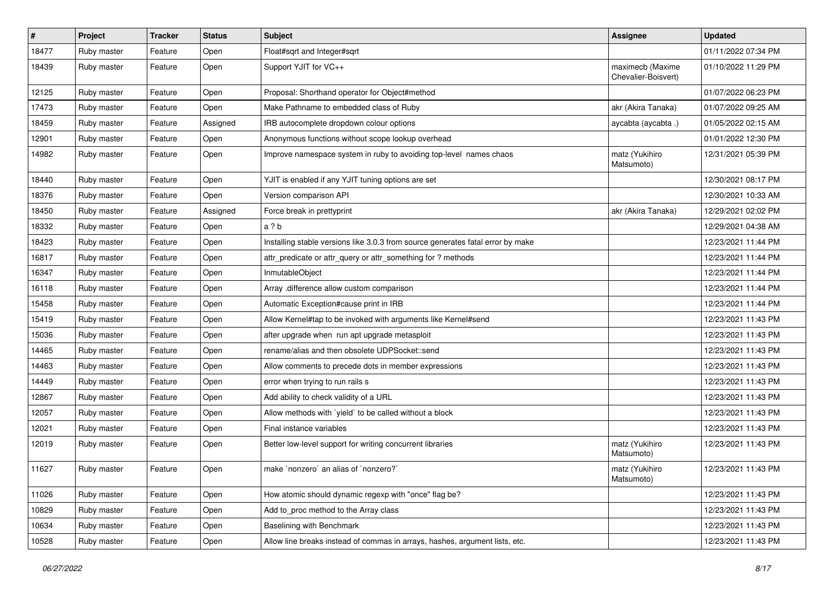| $\vert$ # | Project     | <b>Tracker</b> | <b>Status</b> | Subject                                                                         | <b>Assignee</b>                         | <b>Updated</b>      |
|-----------|-------------|----------------|---------------|---------------------------------------------------------------------------------|-----------------------------------------|---------------------|
| 18477     | Ruby master | Feature        | Open          | Float#sqrt and Integer#sqrt                                                     |                                         | 01/11/2022 07:34 PM |
| 18439     | Ruby master | Feature        | Open          | Support YJIT for VC++                                                           | maximecb (Maxime<br>Chevalier-Boisvert) | 01/10/2022 11:29 PM |
| 12125     | Ruby master | Feature        | Open          | Proposal: Shorthand operator for Object#method                                  |                                         | 01/07/2022 06:23 PM |
| 17473     | Ruby master | Feature        | Open          | Make Pathname to embedded class of Ruby                                         | akr (Akira Tanaka)                      | 01/07/2022 09:25 AM |
| 18459     | Ruby master | Feature        | Assigned      | IRB autocomplete dropdown colour options                                        | aycabta (aycabta.)                      | 01/05/2022 02:15 AM |
| 12901     | Ruby master | Feature        | Open          | Anonymous functions without scope lookup overhead                               |                                         | 01/01/2022 12:30 PM |
| 14982     | Ruby master | Feature        | Open          | Improve namespace system in ruby to avoiding top-level names chaos              | matz (Yukihiro<br>Matsumoto)            | 12/31/2021 05:39 PM |
| 18440     | Ruby master | Feature        | Open          | YJIT is enabled if any YJIT tuning options are set                              |                                         | 12/30/2021 08:17 PM |
| 18376     | Ruby master | Feature        | Open          | Version comparison API                                                          |                                         | 12/30/2021 10:33 AM |
| 18450     | Ruby master | Feature        | Assigned      | Force break in prettyprint                                                      | akr (Akira Tanaka)                      | 12/29/2021 02:02 PM |
| 18332     | Ruby master | Feature        | Open          | a ? b                                                                           |                                         | 12/29/2021 04:38 AM |
| 18423     | Ruby master | Feature        | Open          | Installing stable versions like 3.0.3 from source generates fatal error by make |                                         | 12/23/2021 11:44 PM |
| 16817     | Ruby master | Feature        | Open          | attr_predicate or attr_query or attr_something for ? methods                    |                                         | 12/23/2021 11:44 PM |
| 16347     | Ruby master | Feature        | Open          | InmutableObject                                                                 |                                         | 12/23/2021 11:44 PM |
| 16118     | Ruby master | Feature        | Open          | Array .difference allow custom comparison                                       |                                         | 12/23/2021 11:44 PM |
| 15458     | Ruby master | Feature        | Open          | Automatic Exception#cause print in IRB                                          |                                         | 12/23/2021 11:44 PM |
| 15419     | Ruby master | Feature        | Open          | Allow Kernel#tap to be invoked with arguments like Kernel#send                  |                                         | 12/23/2021 11:43 PM |
| 15036     | Ruby master | Feature        | Open          | after upgrade when run apt upgrade metasploit                                   |                                         | 12/23/2021 11:43 PM |
| 14465     | Ruby master | Feature        | Open          | rename/alias and then obsolete UDPSocket::send                                  |                                         | 12/23/2021 11:43 PM |
| 14463     | Ruby master | Feature        | Open          | Allow comments to precede dots in member expressions                            |                                         | 12/23/2021 11:43 PM |
| 14449     | Ruby master | Feature        | Open          | error when trying to run rails s                                                |                                         | 12/23/2021 11:43 PM |
| 12867     | Ruby master | Feature        | Open          | Add ability to check validity of a URL                                          |                                         | 12/23/2021 11:43 PM |
| 12057     | Ruby master | Feature        | Open          | Allow methods with `yield` to be called without a block                         |                                         | 12/23/2021 11:43 PM |
| 12021     | Ruby master | Feature        | Open          | Final instance variables                                                        |                                         | 12/23/2021 11:43 PM |
| 12019     | Ruby master | Feature        | Open          | Better low-level support for writing concurrent libraries                       | matz (Yukihiro<br>Matsumoto)            | 12/23/2021 11:43 PM |
| 11627     | Ruby master | Feature        | Open          | make 'nonzero' an alias of 'nonzero?'                                           | matz (Yukihiro<br>Matsumoto)            | 12/23/2021 11:43 PM |
| 11026     | Ruby master | Feature        | Open          | How atomic should dynamic regexp with "once" flag be?                           |                                         | 12/23/2021 11:43 PM |
| 10829     | Ruby master | Feature        | Open          | Add to_proc method to the Array class                                           |                                         | 12/23/2021 11:43 PM |
| 10634     | Ruby master | Feature        | Open          | Baselining with Benchmark                                                       |                                         | 12/23/2021 11:43 PM |
| 10528     | Ruby master | Feature        | Open          | Allow line breaks instead of commas in arrays, hashes, argument lists, etc.     |                                         | 12/23/2021 11:43 PM |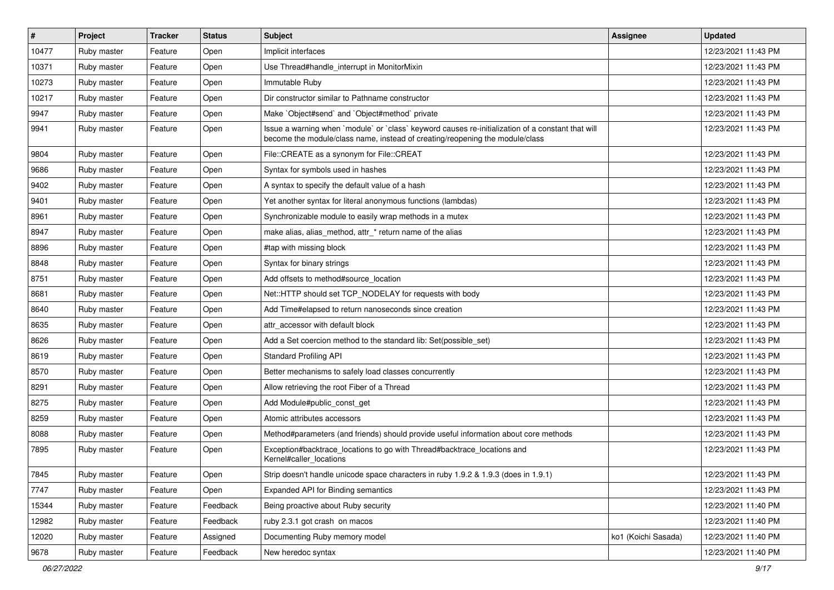| $\vert$ # | Project     | <b>Tracker</b> | <b>Status</b> | <b>Subject</b>                                                                                                                                                                    | <b>Assignee</b>     | <b>Updated</b>      |
|-----------|-------------|----------------|---------------|-----------------------------------------------------------------------------------------------------------------------------------------------------------------------------------|---------------------|---------------------|
| 10477     | Ruby master | Feature        | Open          | Implicit interfaces                                                                                                                                                               |                     | 12/23/2021 11:43 PM |
| 10371     | Ruby master | Feature        | Open          | Use Thread#handle_interrupt in MonitorMixin                                                                                                                                       |                     | 12/23/2021 11:43 PM |
| 10273     | Ruby master | Feature        | Open          | Immutable Ruby                                                                                                                                                                    |                     | 12/23/2021 11:43 PM |
| 10217     | Ruby master | Feature        | Open          | Dir constructor similar to Pathname constructor                                                                                                                                   |                     | 12/23/2021 11:43 PM |
| 9947      | Ruby master | Feature        | Open          | Make `Object#send` and `Object#method` private                                                                                                                                    |                     | 12/23/2021 11:43 PM |
| 9941      | Ruby master | Feature        | Open          | Issue a warning when `module` or `class` keyword causes re-initialization of a constant that will<br>become the module/class name, instead of creating/reopening the module/class |                     | 12/23/2021 11:43 PM |
| 9804      | Ruby master | Feature        | Open          | File::CREATE as a synonym for File::CREAT                                                                                                                                         |                     | 12/23/2021 11:43 PM |
| 9686      | Ruby master | Feature        | Open          | Syntax for symbols used in hashes                                                                                                                                                 |                     | 12/23/2021 11:43 PM |
| 9402      | Ruby master | Feature        | Open          | A syntax to specify the default value of a hash                                                                                                                                   |                     | 12/23/2021 11:43 PM |
| 9401      | Ruby master | Feature        | Open          | Yet another syntax for literal anonymous functions (lambdas)                                                                                                                      |                     | 12/23/2021 11:43 PM |
| 8961      | Ruby master | Feature        | Open          | Synchronizable module to easily wrap methods in a mutex                                                                                                                           |                     | 12/23/2021 11:43 PM |
| 8947      | Ruby master | Feature        | Open          | make alias, alias method, attr * return name of the alias                                                                                                                         |                     | 12/23/2021 11:43 PM |
| 8896      | Ruby master | Feature        | Open          | #tap with missing block                                                                                                                                                           |                     | 12/23/2021 11:43 PM |
| 8848      | Ruby master | Feature        | Open          | Syntax for binary strings                                                                                                                                                         |                     | 12/23/2021 11:43 PM |
| 8751      | Ruby master | Feature        | Open          | Add offsets to method#source location                                                                                                                                             |                     | 12/23/2021 11:43 PM |
| 8681      | Ruby master | Feature        | Open          | Net::HTTP should set TCP_NODELAY for requests with body                                                                                                                           |                     | 12/23/2021 11:43 PM |
| 8640      | Ruby master | Feature        | Open          | Add Time#elapsed to return nanoseconds since creation                                                                                                                             |                     | 12/23/2021 11:43 PM |
| 8635      | Ruby master | Feature        | Open          | attr accessor with default block                                                                                                                                                  |                     | 12/23/2021 11:43 PM |
| 8626      | Ruby master | Feature        | Open          | Add a Set coercion method to the standard lib: Set(possible_set)                                                                                                                  |                     | 12/23/2021 11:43 PM |
| 8619      | Ruby master | Feature        | Open          | <b>Standard Profiling API</b>                                                                                                                                                     |                     | 12/23/2021 11:43 PM |
| 8570      | Ruby master | Feature        | Open          | Better mechanisms to safely load classes concurrently                                                                                                                             |                     | 12/23/2021 11:43 PM |
| 8291      | Ruby master | Feature        | Open          | Allow retrieving the root Fiber of a Thread                                                                                                                                       |                     | 12/23/2021 11:43 PM |
| 8275      | Ruby master | Feature        | Open          | Add Module#public_const_get                                                                                                                                                       |                     | 12/23/2021 11:43 PM |
| 8259      | Ruby master | Feature        | Open          | Atomic attributes accessors                                                                                                                                                       |                     | 12/23/2021 11:43 PM |
| 8088      | Ruby master | Feature        | Open          | Method#parameters (and friends) should provide useful information about core methods                                                                                              |                     | 12/23/2021 11:43 PM |
| 7895      | Ruby master | Feature        | Open          | Exception#backtrace_locations to go with Thread#backtrace_locations and<br>Kernel#caller locations                                                                                |                     | 12/23/2021 11:43 PM |
| 7845      | Ruby master | Feature        | Open          | Strip doesn't handle unicode space characters in ruby 1.9.2 & 1.9.3 (does in 1.9.1)                                                                                               |                     | 12/23/2021 11:43 PM |
| 7747      | Ruby master | Feature        | Open          | Expanded API for Binding semantics                                                                                                                                                |                     | 12/23/2021 11:43 PM |
| 15344     | Ruby master | Feature        | Feedback      | Being proactive about Ruby security                                                                                                                                               |                     | 12/23/2021 11:40 PM |
| 12982     | Ruby master | Feature        | Feedback      | ruby 2.3.1 got crash on macos                                                                                                                                                     |                     | 12/23/2021 11:40 PM |
| 12020     | Ruby master | Feature        | Assigned      | Documenting Ruby memory model                                                                                                                                                     | ko1 (Koichi Sasada) | 12/23/2021 11:40 PM |
| 9678      | Ruby master | Feature        | Feedback      | New heredoc syntax                                                                                                                                                                |                     | 12/23/2021 11:40 PM |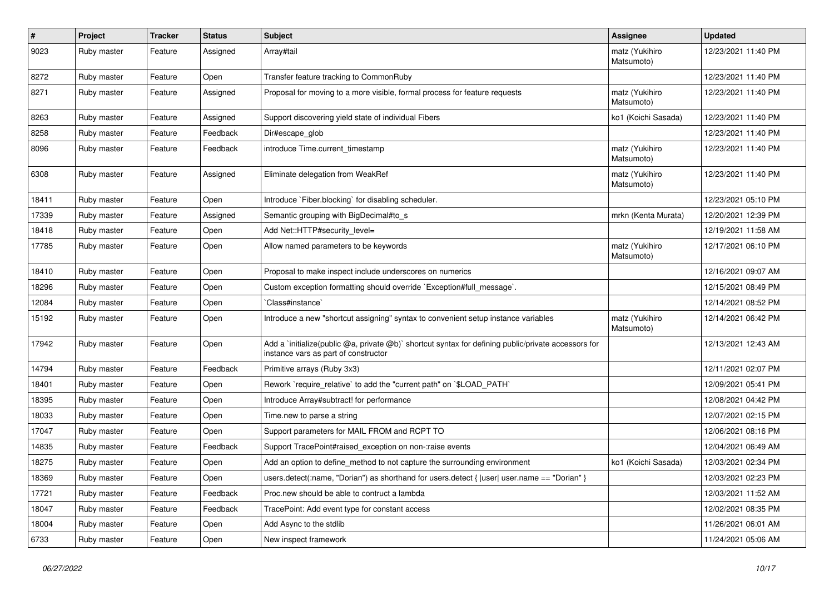| $\sharp$ | Project     | <b>Tracker</b> | <b>Status</b> | <b>Subject</b>                                                                                                                              | Assignee                     | <b>Updated</b>      |
|----------|-------------|----------------|---------------|---------------------------------------------------------------------------------------------------------------------------------------------|------------------------------|---------------------|
| 9023     | Ruby master | Feature        | Assigned      | Array#tail                                                                                                                                  | matz (Yukihiro<br>Matsumoto) | 12/23/2021 11:40 PM |
| 8272     | Ruby master | Feature        | Open          | Transfer feature tracking to CommonRuby                                                                                                     |                              | 12/23/2021 11:40 PM |
| 8271     | Ruby master | Feature        | Assigned      | Proposal for moving to a more visible, formal process for feature requests                                                                  | matz (Yukihiro<br>Matsumoto) | 12/23/2021 11:40 PM |
| 8263     | Ruby master | Feature        | Assigned      | Support discovering yield state of individual Fibers                                                                                        | ko1 (Koichi Sasada)          | 12/23/2021 11:40 PM |
| 8258     | Ruby master | Feature        | Feedback      | Dir#escape_glob                                                                                                                             |                              | 12/23/2021 11:40 PM |
| 8096     | Ruby master | Feature        | Feedback      | introduce Time.current timestamp                                                                                                            | matz (Yukihiro<br>Matsumoto) | 12/23/2021 11:40 PM |
| 6308     | Ruby master | Feature        | Assigned      | Eliminate delegation from WeakRef                                                                                                           | matz (Yukihiro<br>Matsumoto) | 12/23/2021 11:40 PM |
| 18411    | Ruby master | Feature        | Open          | Introduce `Fiber.blocking` for disabling scheduler.                                                                                         |                              | 12/23/2021 05:10 PM |
| 17339    | Ruby master | Feature        | Assigned      | Semantic grouping with BigDecimal#to_s                                                                                                      | mrkn (Kenta Murata)          | 12/20/2021 12:39 PM |
| 18418    | Ruby master | Feature        | Open          | Add Net::HTTP#security level=                                                                                                               |                              | 12/19/2021 11:58 AM |
| 17785    | Ruby master | Feature        | Open          | Allow named parameters to be keywords                                                                                                       | matz (Yukihiro<br>Matsumoto) | 12/17/2021 06:10 PM |
| 18410    | Ruby master | Feature        | Open          | Proposal to make inspect include underscores on numerics                                                                                    |                              | 12/16/2021 09:07 AM |
| 18296    | Ruby master | Feature        | Open          | Custom exception formatting should override `Exception#full_message`.                                                                       |                              | 12/15/2021 08:49 PM |
| 12084    | Ruby master | Feature        | Open          | 'Class#instance'                                                                                                                            |                              | 12/14/2021 08:52 PM |
| 15192    | Ruby master | Feature        | Open          | Introduce a new "shortcut assigning" syntax to convenient setup instance variables                                                          | matz (Yukihiro<br>Matsumoto) | 12/14/2021 06:42 PM |
| 17942    | Ruby master | Feature        | Open          | Add a `initialize(public @a, private @b)` shortcut syntax for defining public/private accessors for<br>instance vars as part of constructor |                              | 12/13/2021 12:43 AM |
| 14794    | Ruby master | Feature        | Feedback      | Primitive arrays (Ruby 3x3)                                                                                                                 |                              | 12/11/2021 02:07 PM |
| 18401    | Ruby master | Feature        | Open          | Rework `require relative` to add the "current path" on `\$LOAD PATH`                                                                        |                              | 12/09/2021 05:41 PM |
| 18395    | Ruby master | Feature        | Open          | Introduce Array#subtract! for performance                                                                                                   |                              | 12/08/2021 04:42 PM |
| 18033    | Ruby master | Feature        | Open          | Time.new to parse a string                                                                                                                  |                              | 12/07/2021 02:15 PM |
| 17047    | Ruby master | Feature        | Open          | Support parameters for MAIL FROM and RCPT TO                                                                                                |                              | 12/06/2021 08:16 PM |
| 14835    | Ruby master | Feature        | Feedback      | Support TracePoint#raised exception on non-:raise events                                                                                    |                              | 12/04/2021 06:49 AM |
| 18275    | Ruby master | Feature        | Open          | Add an option to define method to not capture the surrounding environment                                                                   | ko1 (Koichi Sasada)          | 12/03/2021 02:34 PM |
| 18369    | Ruby master | Feature        | Open          | users.detect(:name, "Dorian") as shorthand for users.detect {  user  user.name == "Dorian" }                                                |                              | 12/03/2021 02:23 PM |
| 17721    | Ruby master | Feature        | Feedback      | Proc.new should be able to contruct a lambda                                                                                                |                              | 12/03/2021 11:52 AM |
| 18047    | Ruby master | Feature        | Feedback      | TracePoint: Add event type for constant access                                                                                              |                              | 12/02/2021 08:35 PM |
| 18004    | Ruby master | Feature        | Open          | Add Async to the stdlib                                                                                                                     |                              | 11/26/2021 06:01 AM |
| 6733     | Ruby master | Feature        | Open          | New inspect framework                                                                                                                       |                              | 11/24/2021 05:06 AM |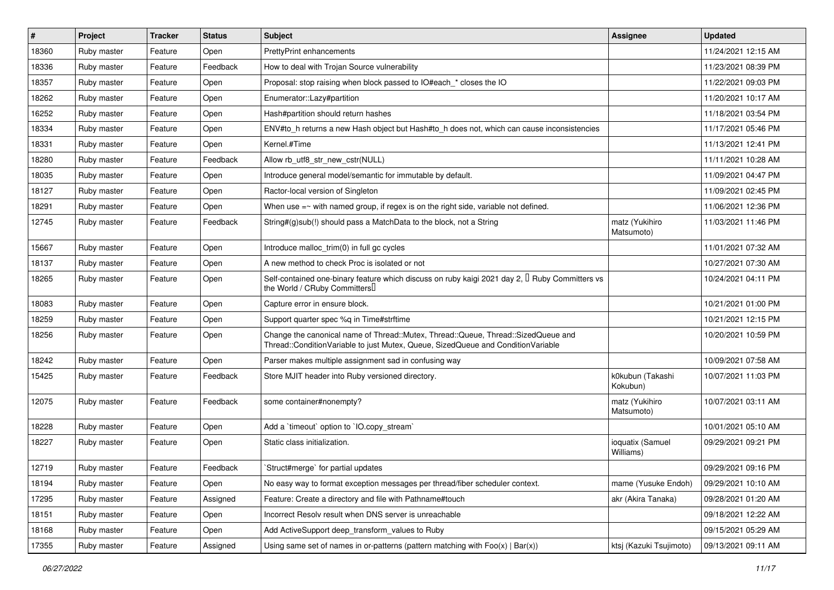| $\vert$ # | Project     | <b>Tracker</b> | <b>Status</b> | <b>Subject</b>                                                                                                                                                        | <b>Assignee</b>               | <b>Updated</b>      |
|-----------|-------------|----------------|---------------|-----------------------------------------------------------------------------------------------------------------------------------------------------------------------|-------------------------------|---------------------|
| 18360     | Ruby master | Feature        | Open          | <b>PrettyPrint enhancements</b>                                                                                                                                       |                               | 11/24/2021 12:15 AM |
| 18336     | Ruby master | Feature        | Feedback      | How to deal with Trojan Source vulnerability                                                                                                                          |                               | 11/23/2021 08:39 PM |
| 18357     | Ruby master | Feature        | Open          | Proposal: stop raising when block passed to IO#each_* closes the IO                                                                                                   |                               | 11/22/2021 09:03 PM |
| 18262     | Ruby master | Feature        | Open          | Enumerator::Lazy#partition                                                                                                                                            |                               | 11/20/2021 10:17 AM |
| 16252     | Ruby master | Feature        | Open          | Hash#partition should return hashes                                                                                                                                   |                               | 11/18/2021 03:54 PM |
| 18334     | Ruby master | Feature        | Open          | ENV#to_h returns a new Hash object but Hash#to_h does not, which can cause inconsistencies                                                                            |                               | 11/17/2021 05:46 PM |
| 18331     | Ruby master | Feature        | Open          | Kernel.#Time                                                                                                                                                          |                               | 11/13/2021 12:41 PM |
| 18280     | Ruby master | Feature        | Feedback      | Allow rb utf8 str new cstr(NULL)                                                                                                                                      |                               | 11/11/2021 10:28 AM |
| 18035     | Ruby master | Feature        | Open          | Introduce general model/semantic for immutable by default.                                                                                                            |                               | 11/09/2021 04:47 PM |
| 18127     | Ruby master | Feature        | Open          | Ractor-local version of Singleton                                                                                                                                     |                               | 11/09/2021 02:45 PM |
| 18291     | Ruby master | Feature        | Open          | When use $=\sim$ with named group, if regex is on the right side, variable not defined.                                                                               |                               | 11/06/2021 12:36 PM |
| 12745     | Ruby master | Feature        | Feedback      | String#(g)sub(!) should pass a MatchData to the block, not a String                                                                                                   | matz (Yukihiro<br>Matsumoto)  | 11/03/2021 11:46 PM |
| 15667     | Ruby master | Feature        | Open          | Introduce malloc_trim(0) in full gc cycles                                                                                                                            |                               | 11/01/2021 07:32 AM |
| 18137     | Ruby master | Feature        | Open          | A new method to check Proc is isolated or not                                                                                                                         |                               | 10/27/2021 07:30 AM |
| 18265     | Ruby master | Feature        | Open          | Self-contained one-binary feature which discuss on ruby kaigi 2021 day 2, <sup>[]</sup> Ruby Committers vs<br>the World / CRuby Committers                            |                               | 10/24/2021 04:11 PM |
| 18083     | Ruby master | Feature        | Open          | Capture error in ensure block.                                                                                                                                        |                               | 10/21/2021 01:00 PM |
| 18259     | Ruby master | Feature        | Open          | Support quarter spec %q in Time#strftime                                                                                                                              |                               | 10/21/2021 12:15 PM |
| 18256     | Ruby master | Feature        | Open          | Change the canonical name of Thread::Mutex, Thread::Queue, Thread::SizedQueue and<br>Thread::ConditionVariable to just Mutex, Queue, SizedQueue and ConditionVariable |                               | 10/20/2021 10:59 PM |
| 18242     | Ruby master | Feature        | Open          | Parser makes multiple assignment sad in confusing way                                                                                                                 |                               | 10/09/2021 07:58 AM |
| 15425     | Ruby master | Feature        | Feedback      | Store MJIT header into Ruby versioned directory.                                                                                                                      | k0kubun (Takashi<br>Kokubun)  | 10/07/2021 11:03 PM |
| 12075     | Ruby master | Feature        | Feedback      | some container#nonempty?                                                                                                                                              | matz (Yukihiro<br>Matsumoto)  | 10/07/2021 03:11 AM |
| 18228     | Ruby master | Feature        | Open          | Add a 'timeout' option to 'IO.copy_stream'                                                                                                                            |                               | 10/01/2021 05:10 AM |
| 18227     | Ruby master | Feature        | Open          | Static class initialization.                                                                                                                                          | ioquatix (Samuel<br>Williams) | 09/29/2021 09:21 PM |
| 12719     | Ruby master | Feature        | Feedback      | Struct#merge` for partial updates                                                                                                                                     |                               | 09/29/2021 09:16 PM |
| 18194     | Ruby master | Feature        | Open          | No easy way to format exception messages per thread/fiber scheduler context.                                                                                          | mame (Yusuke Endoh)           | 09/29/2021 10:10 AM |
| 17295     | Ruby master | Feature        | Assigned      | Feature: Create a directory and file with Pathname#touch                                                                                                              | akr (Akira Tanaka)            | 09/28/2021 01:20 AM |
| 18151     | Ruby master | Feature        | Open          | Incorrect Resolv result when DNS server is unreachable                                                                                                                |                               | 09/18/2021 12:22 AM |
| 18168     | Ruby master | Feature        | Open          | Add ActiveSupport deep_transform_values to Ruby                                                                                                                       |                               | 09/15/2021 05:29 AM |
| 17355     | Ruby master | Feature        | Assigned      | Using same set of names in or-patterns (pattern matching with $Foo(x)   Bar(x)$ )                                                                                     | ktsj (Kazuki Tsujimoto)       | 09/13/2021 09:11 AM |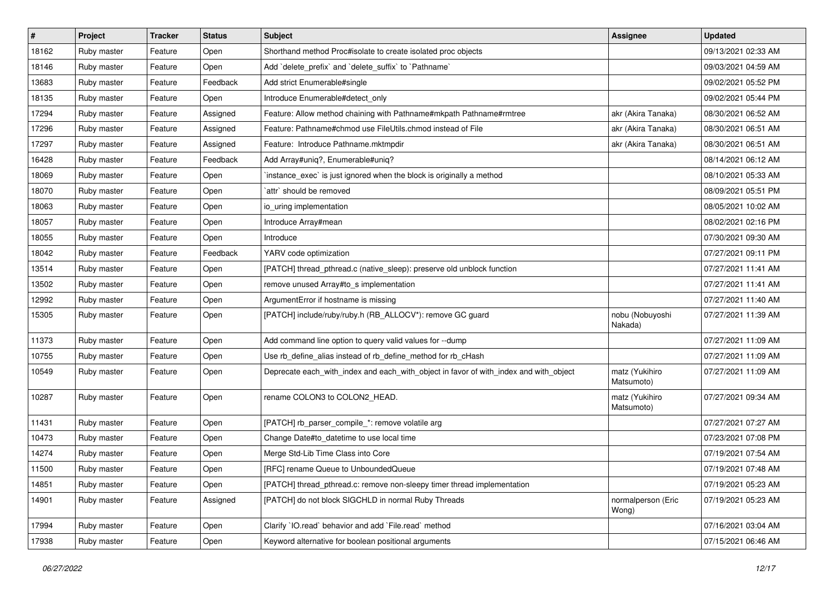| $\sharp$ | Project     | <b>Tracker</b> | <b>Status</b> | <b>Subject</b>                                                                        | <b>Assignee</b>              | <b>Updated</b>      |
|----------|-------------|----------------|---------------|---------------------------------------------------------------------------------------|------------------------------|---------------------|
| 18162    | Ruby master | Feature        | Open          | Shorthand method Proc#isolate to create isolated proc objects                         |                              | 09/13/2021 02:33 AM |
| 18146    | Ruby master | Feature        | Open          | Add 'delete_prefix' and 'delete_suffix' to 'Pathname'                                 |                              | 09/03/2021 04:59 AM |
| 13683    | Ruby master | Feature        | Feedback      | Add strict Enumerable#single                                                          |                              | 09/02/2021 05:52 PM |
| 18135    | Ruby master | Feature        | Open          | Introduce Enumerable#detect_only                                                      |                              | 09/02/2021 05:44 PM |
| 17294    | Ruby master | Feature        | Assigned      | Feature: Allow method chaining with Pathname#mkpath Pathname#rmtree                   | akr (Akira Tanaka)           | 08/30/2021 06:52 AM |
| 17296    | Ruby master | Feature        | Assigned      | Feature: Pathname#chmod use FileUtils.chmod instead of File                           | akr (Akira Tanaka)           | 08/30/2021 06:51 AM |
| 17297    | Ruby master | Feature        | Assigned      | Feature: Introduce Pathname.mktmpdir                                                  | akr (Akira Tanaka)           | 08/30/2021 06:51 AM |
| 16428    | Ruby master | Feature        | Feedback      | Add Array#uniq?, Enumerable#uniq?                                                     |                              | 08/14/2021 06:12 AM |
| 18069    | Ruby master | Feature        | Open          | instance_exec` is just ignored when the block is originally a method                  |                              | 08/10/2021 05:33 AM |
| 18070    | Ruby master | Feature        | Open          | `attr` should be removed                                                              |                              | 08/09/2021 05:51 PM |
| 18063    | Ruby master | Feature        | Open          | io_uring implementation                                                               |                              | 08/05/2021 10:02 AM |
| 18057    | Ruby master | Feature        | Open          | Introduce Array#mean                                                                  |                              | 08/02/2021 02:16 PM |
| 18055    | Ruby master | Feature        | Open          | Introduce                                                                             |                              | 07/30/2021 09:30 AM |
| 18042    | Ruby master | Feature        | Feedback      | YARV code optimization                                                                |                              | 07/27/2021 09:11 PM |
| 13514    | Ruby master | Feature        | Open          | [PATCH] thread_pthread.c (native_sleep): preserve old unblock function                |                              | 07/27/2021 11:41 AM |
| 13502    | Ruby master | Feature        | Open          | remove unused Array#to_s implementation                                               |                              | 07/27/2021 11:41 AM |
| 12992    | Ruby master | Feature        | Open          | ArgumentError if hostname is missing                                                  |                              | 07/27/2021 11:40 AM |
| 15305    | Ruby master | Feature        | Open          | [PATCH] include/ruby/ruby.h (RB_ALLOCV*): remove GC guard                             | nobu (Nobuyoshi<br>Nakada)   | 07/27/2021 11:39 AM |
| 11373    | Ruby master | Feature        | Open          | Add command line option to query valid values for --dump                              |                              | 07/27/2021 11:09 AM |
| 10755    | Ruby master | Feature        | Open          | Use rb_define_alias instead of rb_define_method for rb_cHash                          |                              | 07/27/2021 11:09 AM |
| 10549    | Ruby master | Feature        | Open          | Deprecate each_with_index and each_with_object in favor of with_index and with_object | matz (Yukihiro<br>Matsumoto) | 07/27/2021 11:09 AM |
| 10287    | Ruby master | Feature        | Open          | rename COLON3 to COLON2_HEAD.                                                         | matz (Yukihiro<br>Matsumoto) | 07/27/2021 09:34 AM |
| 11431    | Ruby master | Feature        | Open          | [PATCH] rb_parser_compile_*: remove volatile arg                                      |                              | 07/27/2021 07:27 AM |
| 10473    | Ruby master | Feature        | Open          | Change Date#to_datetime to use local time                                             |                              | 07/23/2021 07:08 PM |
| 14274    | Ruby master | Feature        | Open          | Merge Std-Lib Time Class into Core                                                    |                              | 07/19/2021 07:54 AM |
| 11500    | Ruby master | Feature        | Open          | [RFC] rename Queue to UnboundedQueue                                                  |                              | 07/19/2021 07:48 AM |
| 14851    | Ruby master | Feature        | Open          | [PATCH] thread_pthread.c: remove non-sleepy timer thread implementation               |                              | 07/19/2021 05:23 AM |
| 14901    | Ruby master | Feature        | Assigned      | [PATCH] do not block SIGCHLD in normal Ruby Threads                                   | normalperson (Eric<br>Wong)  | 07/19/2021 05:23 AM |
| 17994    | Ruby master | Feature        | Open          | Clarify `IO.read` behavior and add `File.read` method                                 |                              | 07/16/2021 03:04 AM |
| 17938    | Ruby master | Feature        | Open          | Keyword alternative for boolean positional arguments                                  |                              | 07/15/2021 06:46 AM |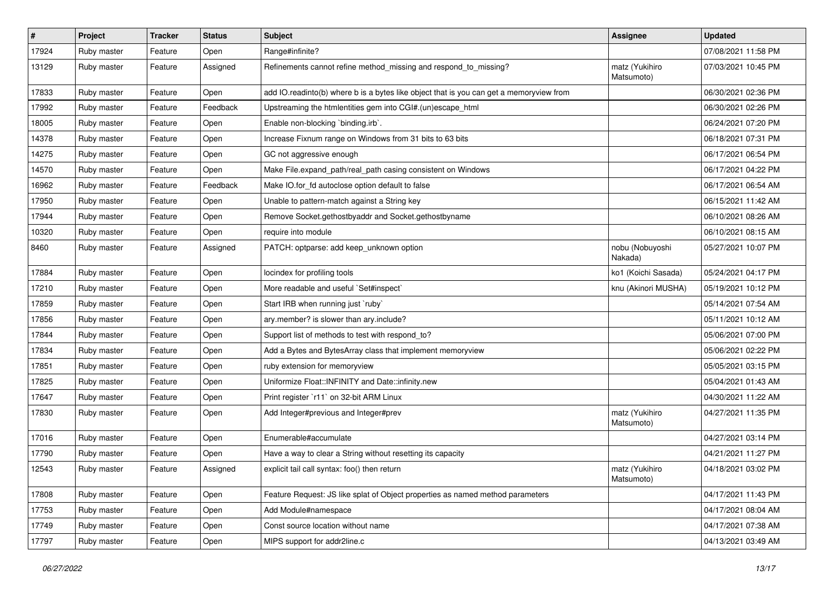| $\sharp$ | Project     | <b>Tracker</b> | <b>Status</b> | Subject                                                                                 | Assignee                     | <b>Updated</b>      |
|----------|-------------|----------------|---------------|-----------------------------------------------------------------------------------------|------------------------------|---------------------|
| 17924    | Ruby master | Feature        | Open          | Range#infinite?                                                                         |                              | 07/08/2021 11:58 PM |
| 13129    | Ruby master | Feature        | Assigned      | Refinements cannot refine method_missing and respond_to_missing?                        | matz (Yukihiro<br>Matsumoto) | 07/03/2021 10:45 PM |
| 17833    | Ruby master | Feature        | Open          | add IO.readinto(b) where b is a bytes like object that is you can get a memoryview from |                              | 06/30/2021 02:36 PM |
| 17992    | Ruby master | Feature        | Feedback      | Upstreaming the htmlentities gem into CGI#.(un)escape_html                              |                              | 06/30/2021 02:26 PM |
| 18005    | Ruby master | Feature        | Open          | Enable non-blocking 'binding.irb'.                                                      |                              | 06/24/2021 07:20 PM |
| 14378    | Ruby master | Feature        | Open          | Increase Fixnum range on Windows from 31 bits to 63 bits                                |                              | 06/18/2021 07:31 PM |
| 14275    | Ruby master | Feature        | Open          | GC not aggressive enough                                                                |                              | 06/17/2021 06:54 PM |
| 14570    | Ruby master | Feature        | Open          | Make File.expand_path/real_path casing consistent on Windows                            |                              | 06/17/2021 04:22 PM |
| 16962    | Ruby master | Feature        | Feedback      | Make IO.for_fd autoclose option default to false                                        |                              | 06/17/2021 06:54 AM |
| 17950    | Ruby master | Feature        | Open          | Unable to pattern-match against a String key                                            |                              | 06/15/2021 11:42 AM |
| 17944    | Ruby master | Feature        | Open          | Remove Socket.gethostbyaddr and Socket.gethostbyname                                    |                              | 06/10/2021 08:26 AM |
| 10320    | Ruby master | Feature        | Open          | require into module                                                                     |                              | 06/10/2021 08:15 AM |
| 8460     | Ruby master | Feature        | Assigned      | PATCH: optparse: add keep_unknown option                                                | nobu (Nobuyoshi<br>Nakada)   | 05/27/2021 10:07 PM |
| 17884    | Ruby master | Feature        | Open          | locindex for profiling tools                                                            | ko1 (Koichi Sasada)          | 05/24/2021 04:17 PM |
| 17210    | Ruby master | Feature        | Open          | More readable and useful `Set#inspect`                                                  | knu (Akinori MUSHA)          | 05/19/2021 10:12 PM |
| 17859    | Ruby master | Feature        | Open          | Start IRB when running just `ruby`                                                      |                              | 05/14/2021 07:54 AM |
| 17856    | Ruby master | Feature        | Open          | ary.member? is slower than ary.include?                                                 |                              | 05/11/2021 10:12 AM |
| 17844    | Ruby master | Feature        | Open          | Support list of methods to test with respond_to?                                        |                              | 05/06/2021 07:00 PM |
| 17834    | Ruby master | Feature        | Open          | Add a Bytes and BytesArray class that implement memoryview                              |                              | 05/06/2021 02:22 PM |
| 17851    | Ruby master | Feature        | Open          | ruby extension for memoryview                                                           |                              | 05/05/2021 03:15 PM |
| 17825    | Ruby master | Feature        | Open          | Uniformize Float::INFINITY and Date::infinity.new                                       |                              | 05/04/2021 01:43 AM |
| 17647    | Ruby master | Feature        | Open          | Print register `r11` on 32-bit ARM Linux                                                |                              | 04/30/2021 11:22 AM |
| 17830    | Ruby master | Feature        | Open          | Add Integer#previous and Integer#prev                                                   | matz (Yukihiro<br>Matsumoto) | 04/27/2021 11:35 PM |
| 17016    | Ruby master | Feature        | Open          | Enumerable#accumulate                                                                   |                              | 04/27/2021 03:14 PM |
| 17790    | Ruby master | Feature        | Open          | Have a way to clear a String without resetting its capacity                             |                              | 04/21/2021 11:27 PM |
| 12543    | Ruby master | Feature        | Assigned      | explicit tail call syntax: foo() then return                                            | matz (Yukihiro<br>Matsumoto) | 04/18/2021 03:02 PM |
| 17808    | Ruby master | Feature        | Open          | Feature Request: JS like splat of Object properties as named method parameters          |                              | 04/17/2021 11:43 PM |
| 17753    | Ruby master | Feature        | Open          | Add Module#namespace                                                                    |                              | 04/17/2021 08:04 AM |
| 17749    | Ruby master | Feature        | Open          | Const source location without name                                                      |                              | 04/17/2021 07:38 AM |
| 17797    | Ruby master | Feature        | Open          | MIPS support for addr2line.c                                                            |                              | 04/13/2021 03:49 AM |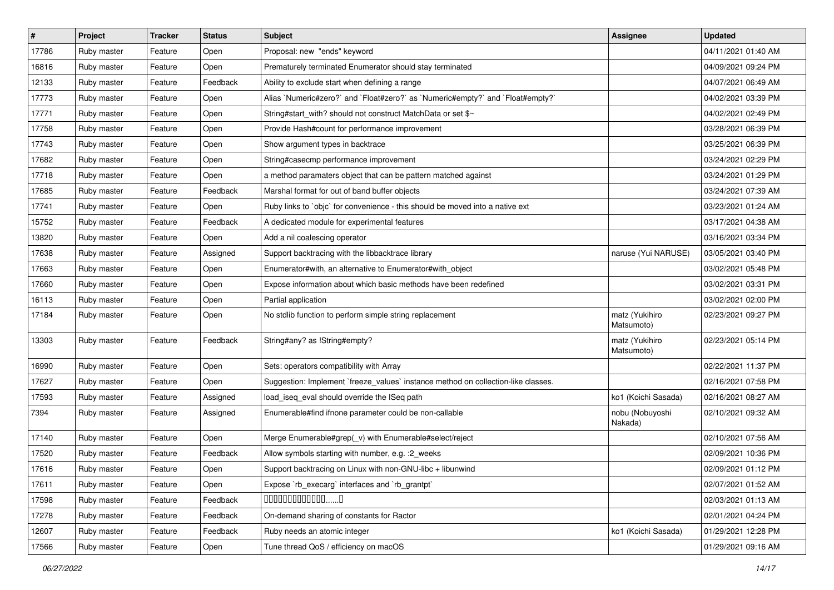| $\sharp$ | Project     | <b>Tracker</b> | <b>Status</b> | Subject                                                                           | <b>Assignee</b>              | <b>Updated</b>      |
|----------|-------------|----------------|---------------|-----------------------------------------------------------------------------------|------------------------------|---------------------|
| 17786    | Ruby master | Feature        | Open          | Proposal: new "ends" keyword                                                      |                              | 04/11/2021 01:40 AM |
| 16816    | Ruby master | Feature        | Open          | Prematurely terminated Enumerator should stay terminated                          |                              | 04/09/2021 09:24 PM |
| 12133    | Ruby master | Feature        | Feedback      | Ability to exclude start when defining a range                                    |                              | 04/07/2021 06:49 AM |
| 17773    | Ruby master | Feature        | Open          | Alias `Numeric#zero?` and `Float#zero?` as `Numeric#empty?` and `Float#empty?`    |                              | 04/02/2021 03:39 PM |
| 17771    | Ruby master | Feature        | Open          | String#start_with? should not construct MatchData or set \$~                      |                              | 04/02/2021 02:49 PM |
| 17758    | Ruby master | Feature        | Open          | Provide Hash#count for performance improvement                                    |                              | 03/28/2021 06:39 PM |
| 17743    | Ruby master | Feature        | Open          | Show argument types in backtrace                                                  |                              | 03/25/2021 06:39 PM |
| 17682    | Ruby master | Feature        | Open          | String#casecmp performance improvement                                            |                              | 03/24/2021 02:29 PM |
| 17718    | Ruby master | Feature        | Open          | a method paramaters object that can be pattern matched against                    |                              | 03/24/2021 01:29 PM |
| 17685    | Ruby master | Feature        | Feedback      | Marshal format for out of band buffer objects                                     |                              | 03/24/2021 07:39 AM |
| 17741    | Ruby master | Feature        | Open          | Ruby links to `objc` for convenience - this should be moved into a native ext     |                              | 03/23/2021 01:24 AM |
| 15752    | Ruby master | Feature        | Feedback      | A dedicated module for experimental features                                      |                              | 03/17/2021 04:38 AM |
| 13820    | Ruby master | Feature        | Open          | Add a nil coalescing operator                                                     |                              | 03/16/2021 03:34 PM |
| 17638    | Ruby master | Feature        | Assigned      | Support backtracing with the libbacktrace library                                 | naruse (Yui NARUSE)          | 03/05/2021 03:40 PM |
| 17663    | Ruby master | Feature        | Open          | Enumerator#with, an alternative to Enumerator#with_object                         |                              | 03/02/2021 05:48 PM |
| 17660    | Ruby master | Feature        | Open          | Expose information about which basic methods have been redefined                  |                              | 03/02/2021 03:31 PM |
| 16113    | Ruby master | Feature        | Open          | Partial application                                                               |                              | 03/02/2021 02:00 PM |
| 17184    | Ruby master | Feature        | Open          | No stdlib function to perform simple string replacement                           | matz (Yukihiro<br>Matsumoto) | 02/23/2021 09:27 PM |
| 13303    | Ruby master | Feature        | Feedback      | String#any? as !String#empty?                                                     | matz (Yukihiro<br>Matsumoto) | 02/23/2021 05:14 PM |
| 16990    | Ruby master | Feature        | Open          | Sets: operators compatibility with Array                                          |                              | 02/22/2021 11:37 PM |
| 17627    | Ruby master | Feature        | Open          | Suggestion: Implement `freeze_values` instance method on collection-like classes. |                              | 02/16/2021 07:58 PM |
| 17593    | Ruby master | Feature        | Assigned      | load_iseq_eval should override the ISeq path                                      | ko1 (Koichi Sasada)          | 02/16/2021 08:27 AM |
| 7394     | Ruby master | Feature        | Assigned      | Enumerable#find ifnone parameter could be non-callable                            | nobu (Nobuyoshi<br>Nakada)   | 02/10/2021 09:32 AM |
| 17140    | Ruby master | Feature        | Open          | Merge Enumerable#grep(_v) with Enumerable#select/reject                           |                              | 02/10/2021 07:56 AM |
| 17520    | Ruby master | Feature        | Feedback      | Allow symbols starting with number, e.g. : 2_weeks                                |                              | 02/09/2021 10:36 PM |
| 17616    | Ruby master | Feature        | Open          | Support backtracing on Linux with non-GNU-libc + libunwind                        |                              | 02/09/2021 01:12 PM |
| 17611    | Ruby master | Feature        | Open          | Expose `rb_execarg` interfaces and `rb_grantpt`                                   |                              | 02/07/2021 01:52 AM |
| 17598    | Ruby master | Feature        | Feedback      | $0000000000000010$                                                                |                              | 02/03/2021 01:13 AM |
| 17278    | Ruby master | Feature        | Feedback      | On-demand sharing of constants for Ractor                                         |                              | 02/01/2021 04:24 PM |
| 12607    | Ruby master | Feature        | Feedback      | Ruby needs an atomic integer                                                      | ko1 (Koichi Sasada)          | 01/29/2021 12:28 PM |
| 17566    | Ruby master | Feature        | Open          | Tune thread QoS / efficiency on macOS                                             |                              | 01/29/2021 09:16 AM |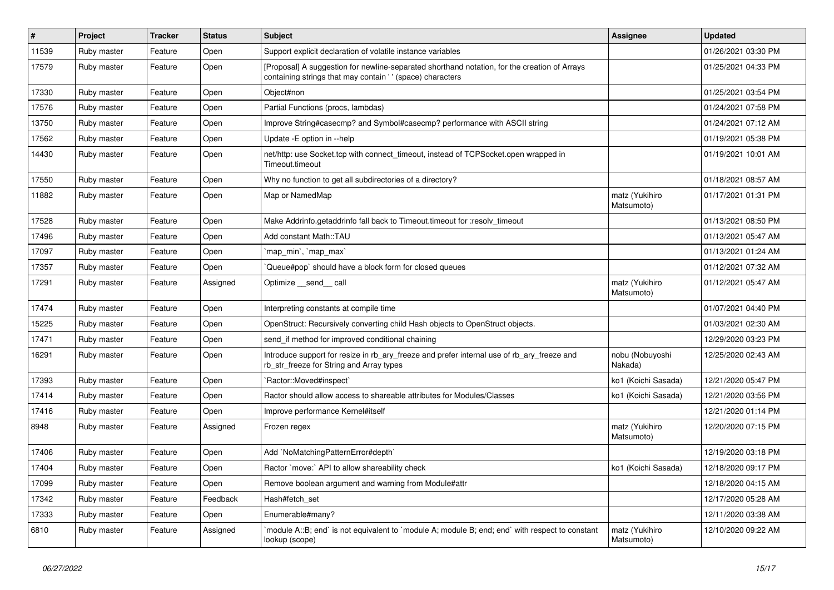| $\sharp$ | Project     | <b>Tracker</b> | <b>Status</b> | Subject                                                                                                                                                   | Assignee                     | <b>Updated</b>      |
|----------|-------------|----------------|---------------|-----------------------------------------------------------------------------------------------------------------------------------------------------------|------------------------------|---------------------|
| 11539    | Ruby master | Feature        | Open          | Support explicit declaration of volatile instance variables                                                                                               |                              | 01/26/2021 03:30 PM |
| 17579    | Ruby master | Feature        | Open          | [Proposal] A suggestion for newline-separated shorthand notation, for the creation of Arrays<br>containing strings that may contain '' (space) characters |                              | 01/25/2021 04:33 PM |
| 17330    | Ruby master | Feature        | Open          | Object#non                                                                                                                                                |                              | 01/25/2021 03:54 PM |
| 17576    | Ruby master | Feature        | Open          | Partial Functions (procs, lambdas)                                                                                                                        |                              | 01/24/2021 07:58 PM |
| 13750    | Ruby master | Feature        | Open          | Improve String#casecmp? and Symbol#casecmp? performance with ASCII string                                                                                 |                              | 01/24/2021 07:12 AM |
| 17562    | Ruby master | Feature        | Open          | Update - E option in --help                                                                                                                               |                              | 01/19/2021 05:38 PM |
| 14430    | Ruby master | Feature        | Open          | net/http: use Socket.tcp with connect_timeout, instead of TCPSocket.open wrapped in<br>Timeout.timeout                                                    |                              | 01/19/2021 10:01 AM |
| 17550    | Ruby master | Feature        | Open          | Why no function to get all subdirectories of a directory?                                                                                                 |                              | 01/18/2021 08:57 AM |
| 11882    | Ruby master | Feature        | Open          | Map or NamedMap                                                                                                                                           | matz (Yukihiro<br>Matsumoto) | 01/17/2021 01:31 PM |
| 17528    | Ruby master | Feature        | Open          | Make Addrinfo.getaddrinfo fall back to Timeout.timeout for :resolv_timeout                                                                                |                              | 01/13/2021 08:50 PM |
| 17496    | Ruby master | Feature        | Open          | Add constant Math::TAU                                                                                                                                    |                              | 01/13/2021 05:47 AM |
| 17097    | Ruby master | Feature        | Open          | `map_min`, `map_max`                                                                                                                                      |                              | 01/13/2021 01:24 AM |
| 17357    | Ruby master | Feature        | Open          | Queue#pop`should have a block form for closed queues                                                                                                      |                              | 01/12/2021 07:32 AM |
| 17291    | Ruby master | Feature        | Assigned      | Optimize __send__ call                                                                                                                                    | matz (Yukihiro<br>Matsumoto) | 01/12/2021 05:47 AM |
| 17474    | Ruby master | Feature        | Open          | Interpreting constants at compile time                                                                                                                    |                              | 01/07/2021 04:40 PM |
| 15225    | Ruby master | Feature        | Open          | OpenStruct: Recursively converting child Hash objects to OpenStruct objects.                                                                              |                              | 01/03/2021 02:30 AM |
| 17471    | Ruby master | Feature        | Open          | send_if method for improved conditional chaining                                                                                                          |                              | 12/29/2020 03:23 PM |
| 16291    | Ruby master | Feature        | Open          | Introduce support for resize in rb_ary_freeze and prefer internal use of rb_ary_freeze and<br>rb_str_freeze for String and Array types                    | nobu (Nobuyoshi<br>Nakada)   | 12/25/2020 02:43 AM |
| 17393    | Ruby master | Feature        | Open          | `Ractor::Moved#inspect`                                                                                                                                   | ko1 (Koichi Sasada)          | 12/21/2020 05:47 PM |
| 17414    | Ruby master | Feature        | Open          | Ractor should allow access to shareable attributes for Modules/Classes                                                                                    | ko1 (Koichi Sasada)          | 12/21/2020 03:56 PM |
| 17416    | Ruby master | Feature        | Open          | Improve performance Kernel#itself                                                                                                                         |                              | 12/21/2020 01:14 PM |
| 8948     | Ruby master | Feature        | Assigned      | Frozen regex                                                                                                                                              | matz (Yukihiro<br>Matsumoto) | 12/20/2020 07:15 PM |
| 17406    | Ruby master | Feature        | Open          | Add `NoMatchingPatternError#depth`                                                                                                                        |                              | 12/19/2020 03:18 PM |
| 17404    | Ruby master | Feature        | Open          | Ractor `move:` API to allow shareability check                                                                                                            | ko1 (Koichi Sasada)          | 12/18/2020 09:17 PM |
| 17099    | Ruby master | Feature        | Open          | Remove boolean argument and warning from Module#attr                                                                                                      |                              | 12/18/2020 04:15 AM |
| 17342    | Ruby master | Feature        | Feedback      | Hash#fetch set                                                                                                                                            |                              | 12/17/2020 05:28 AM |
| 17333    | Ruby master | Feature        | Open          | Enumerable#many?                                                                                                                                          |                              | 12/11/2020 03:38 AM |
| 6810     | Ruby master | Feature        | Assigned      | module A::B; end` is not equivalent to `module A; module B; end; end` with respect to constant<br>lookup (scope)                                          | matz (Yukihiro<br>Matsumoto) | 12/10/2020 09:22 AM |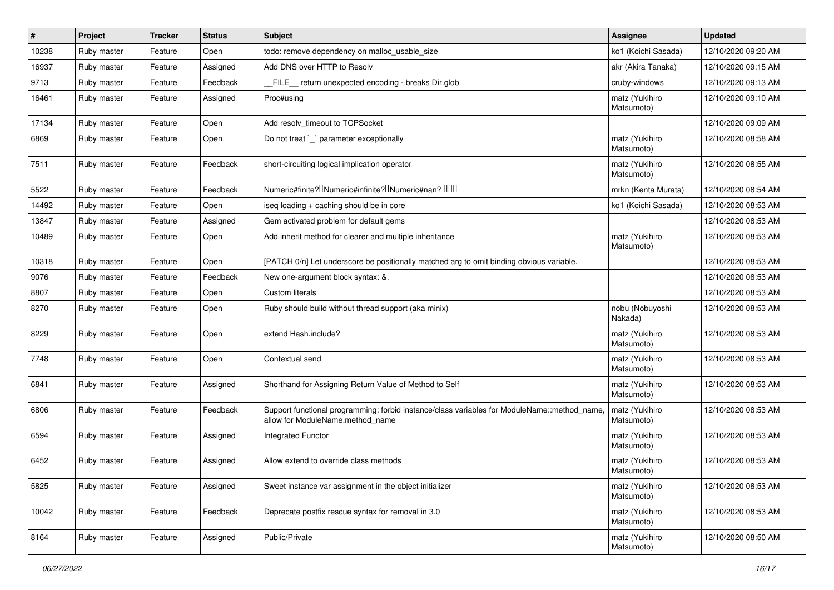| $\#$  | Project     | <b>Tracker</b> | <b>Status</b> | <b>Subject</b>                                                                                                                  | <b>Assignee</b>              | <b>Updated</b>      |
|-------|-------------|----------------|---------------|---------------------------------------------------------------------------------------------------------------------------------|------------------------------|---------------------|
| 10238 | Ruby master | Feature        | Open          | todo: remove dependency on malloc usable size                                                                                   | ko1 (Koichi Sasada)          | 12/10/2020 09:20 AM |
| 16937 | Ruby master | Feature        | Assigned      | Add DNS over HTTP to Resolv                                                                                                     | akr (Akira Tanaka)           | 12/10/2020 09:15 AM |
| 9713  | Ruby master | Feature        | Feedback      | FILE return unexpected encoding - breaks Dir.glob                                                                               | cruby-windows                | 12/10/2020 09:13 AM |
| 16461 | Ruby master | Feature        | Assigned      | Proc#using                                                                                                                      | matz (Yukihiro<br>Matsumoto) | 12/10/2020 09:10 AM |
| 17134 | Ruby master | Feature        | Open          | Add resolv timeout to TCPSocket                                                                                                 |                              | 12/10/2020 09:09 AM |
| 6869  | Ruby master | Feature        | Open          | Do not treat `_` parameter exceptionally                                                                                        | matz (Yukihiro<br>Matsumoto) | 12/10/2020 08:58 AM |
| 7511  | Ruby master | Feature        | Feedback      | short-circuiting logical implication operator                                                                                   | matz (Yukihiro<br>Matsumoto) | 12/10/2020 08:55 AM |
| 5522  | Ruby master | Feature        | Feedback      | Numeric#finite? <sup>D</sup> Numeric#infinite? <sup>D</sup> Numeric#nan? <sup>DDD</sup>                                         | mrkn (Kenta Murata)          | 12/10/2020 08:54 AM |
| 14492 | Ruby master | Feature        | Open          | iseq loading + caching should be in core                                                                                        | ko1 (Koichi Sasada)          | 12/10/2020 08:53 AM |
| 13847 | Ruby master | Feature        | Assigned      | Gem activated problem for default gems                                                                                          |                              | 12/10/2020 08:53 AM |
| 10489 | Ruby master | Feature        | Open          | Add inherit method for clearer and multiple inheritance                                                                         | matz (Yukihiro<br>Matsumoto) | 12/10/2020 08:53 AM |
| 10318 | Ruby master | Feature        | Open          | [PATCH 0/n] Let underscore be positionally matched arg to omit binding obvious variable.                                        |                              | 12/10/2020 08:53 AM |
| 9076  | Ruby master | Feature        | Feedback      | New one-argument block syntax: &.                                                                                               |                              | 12/10/2020 08:53 AM |
| 8807  | Ruby master | Feature        | Open          | <b>Custom literals</b>                                                                                                          |                              | 12/10/2020 08:53 AM |
| 8270  | Ruby master | Feature        | Open          | Ruby should build without thread support (aka minix)                                                                            | nobu (Nobuyoshi<br>Nakada)   | 12/10/2020 08:53 AM |
| 8229  | Ruby master | Feature        | Open          | extend Hash.include?                                                                                                            | matz (Yukihiro<br>Matsumoto) | 12/10/2020 08:53 AM |
| 7748  | Ruby master | Feature        | Open          | Contextual send                                                                                                                 | matz (Yukihiro<br>Matsumoto) | 12/10/2020 08:53 AM |
| 6841  | Ruby master | Feature        | Assigned      | Shorthand for Assigning Return Value of Method to Self                                                                          | matz (Yukihiro<br>Matsumoto) | 12/10/2020 08:53 AM |
| 6806  | Ruby master | Feature        | Feedback      | Support functional programming: forbid instance/class variables for ModuleName::method_name<br>allow for ModuleName.method name | matz (Yukihiro<br>Matsumoto) | 12/10/2020 08:53 AM |
| 6594  | Ruby master | Feature        | Assigned      | <b>Integrated Functor</b>                                                                                                       | matz (Yukihiro<br>Matsumoto) | 12/10/2020 08:53 AM |
| 6452  | Ruby master | Feature        | Assigned      | Allow extend to override class methods                                                                                          | matz (Yukihiro<br>Matsumoto) | 12/10/2020 08:53 AM |
| 5825  | Ruby master | Feature        | Assigned      | Sweet instance var assignment in the object initializer                                                                         | matz (Yukihiro<br>Matsumoto) | 12/10/2020 08:53 AM |
| 10042 | Ruby master | Feature        | Feedback      | Deprecate postfix rescue syntax for removal in 3.0                                                                              | matz (Yukihiro<br>Matsumoto) | 12/10/2020 08:53 AM |
| 8164  | Ruby master | Feature        | Assigned      | Public/Private                                                                                                                  | matz (Yukihiro<br>Matsumoto) | 12/10/2020 08:50 AM |